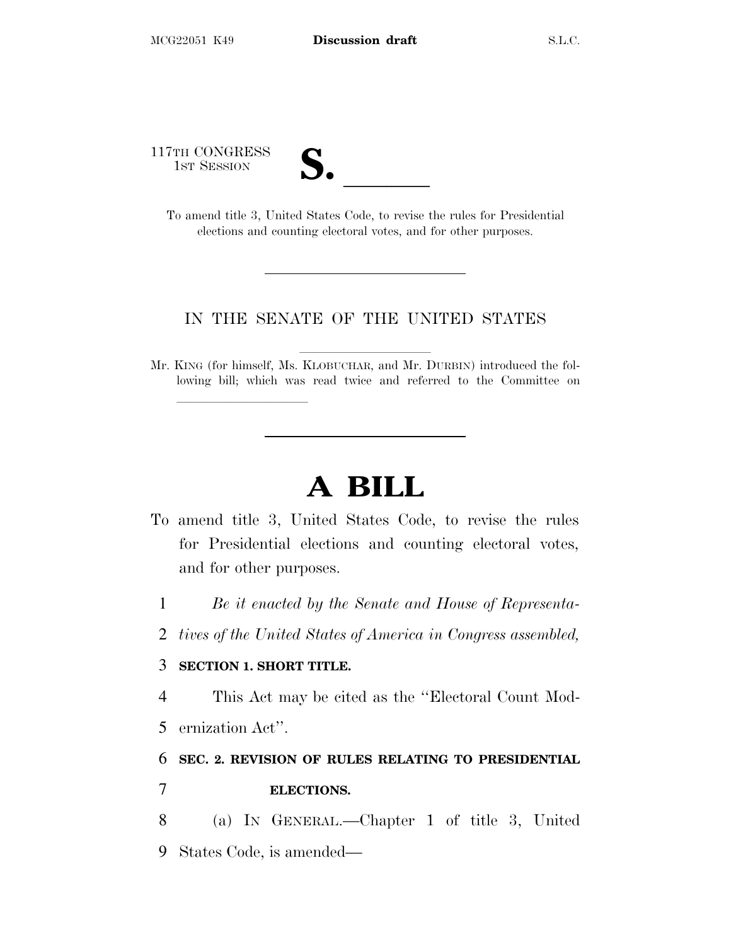117TH CONGRESS

| ┓                        |  |
|--------------------------|--|
| $\overline{\mathcal{U}}$ |  |

TH CONGRESS<br>
1ST SESSION<br>
To amend title 3, United States Code, to revise the rules for Presidential elections and counting electoral votes, and for other purposes.

## IN THE SENATE OF THE UNITED STATES

Mr. KING (for himself, Ms. KLOBUCHAR, and Mr. DURBIN) introduced the following bill; which was read twice and referred to the Committee on

# **A BILL**

- To amend title 3, United States Code, to revise the rules for Presidential elections and counting electoral votes, and for other purposes.
	- 1 *Be it enacted by the Senate and House of Representa-*
	- 2 *tives of the United States of America in Congress assembled,*

#### 3 **SECTION 1. SHORT TITLE.**

lla se al consegue de la consegue de la consegue de la consegue de la consegue de la consegue de la consegue d<br>La consegue de la consegue de la consegue de la consegue de la consegue de la consegue de la consegue de la co

4 This Act may be cited as the ''Electoral Count Mod-

5 ernization Act''.

## 6 **SEC. 2. REVISION OF RULES RELATING TO PRESIDENTIAL** 7 **ELECTIONS.**

8 (a) I<sup>N</sup> GENERAL.—Chapter 1 of title 3, United 9 States Code, is amended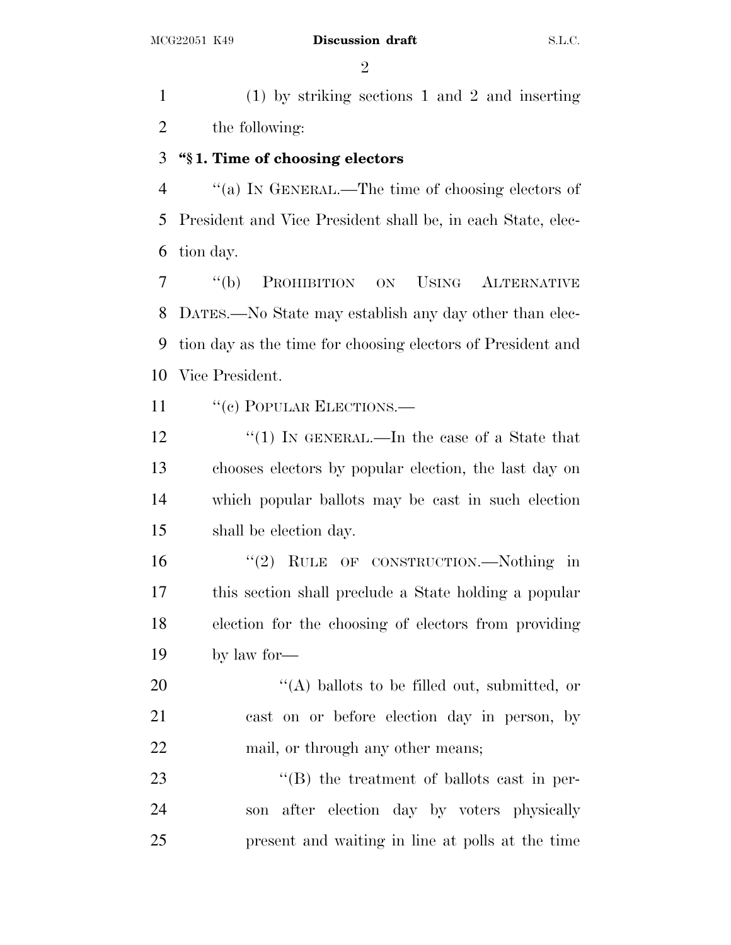$\mathfrak{D}$ 

 (1) by striking sections 1 and 2 and inserting the following:

## **''§ 1. Time of choosing electors**

 ''(a) I<sup>N</sup> GENERAL.—The time of choosing electors of President and Vice President shall be, in each State, elec-tion day.

 ''(b) PROHIBITION ON USING ALTERNATIVE DATES.—No State may establish any day other than elec- tion day as the time for choosing electors of President and Vice President.

11 " (c) POPULAR ELECTIONS.—

12 "(1) IN GENERAL.—In the case of a State that chooses electors by popular election, the last day on which popular ballots may be cast in such election shall be election day.

16 "(2) RULE OF CONSTRUCTION.—Nothing in this section shall preclude a State holding a popular election for the choosing of electors from providing by law for—

20  $\langle (A) \rangle$  ballots to be filled out, submitted, or cast on or before election day in person, by 22 mail, or through any other means;

23 "(B) the treatment of ballots cast in per- son after election day by voters physically present and waiting in line at polls at the time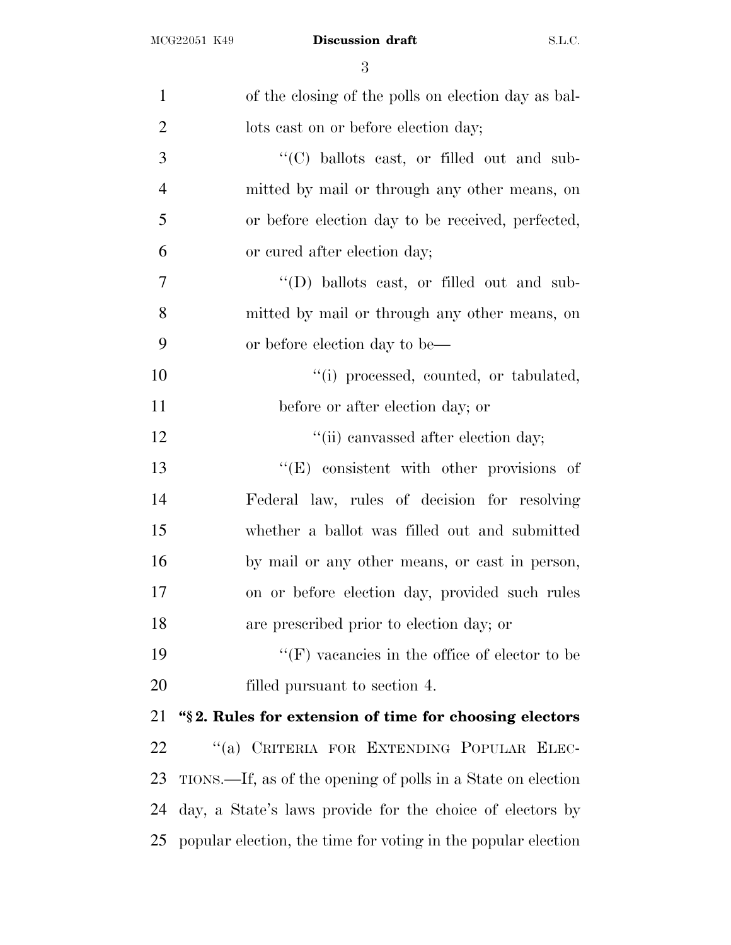| $\mathbf{1}$   | of the closing of the polls on election day as bal-           |
|----------------|---------------------------------------------------------------|
| $\overline{2}$ | lots cast on or before election day;                          |
| 3              | "(C) ballots cast, or filled out and sub-                     |
| $\overline{4}$ | mitted by mail or through any other means, on                 |
| 5              | or before election day to be received, perfected,             |
| 6              | or cured after election day;                                  |
| 7              | "(D) ballots cast, or filled out and sub-                     |
| 8              | mitted by mail or through any other means, on                 |
| 9              | or before election day to be—                                 |
| 10             | "(i) processed, counted, or tabulated,                        |
| 11             | before or after election day; or                              |
| 12             | "(ii) canvassed after election day;                           |
| 13             | "(E) consistent with other provisions of                      |
| 14             | Federal law, rules of decision for resolving                  |
| 15             | whether a ballot was filled out and submitted                 |
| 16             | by mail or any other means, or cast in person,                |
| 17             | on or before election day, provided such rules                |
| 18             | are prescribed prior to election day; or                      |
| 19             | $\lq\lq(F)$ vacancies in the office of elector to be          |
| 20             | filled pursuant to section 4.                                 |
| 21             | "§2. Rules for extension of time for choosing electors        |
| 22             | "(a) CRITERIA FOR EXTENDING POPULAR ELEC-                     |
| 23             | TIONS.—If, as of the opening of polls in a State on election  |
| 24             | day, a State's laws provide for the choice of electors by     |
| 25             | popular election, the time for voting in the popular election |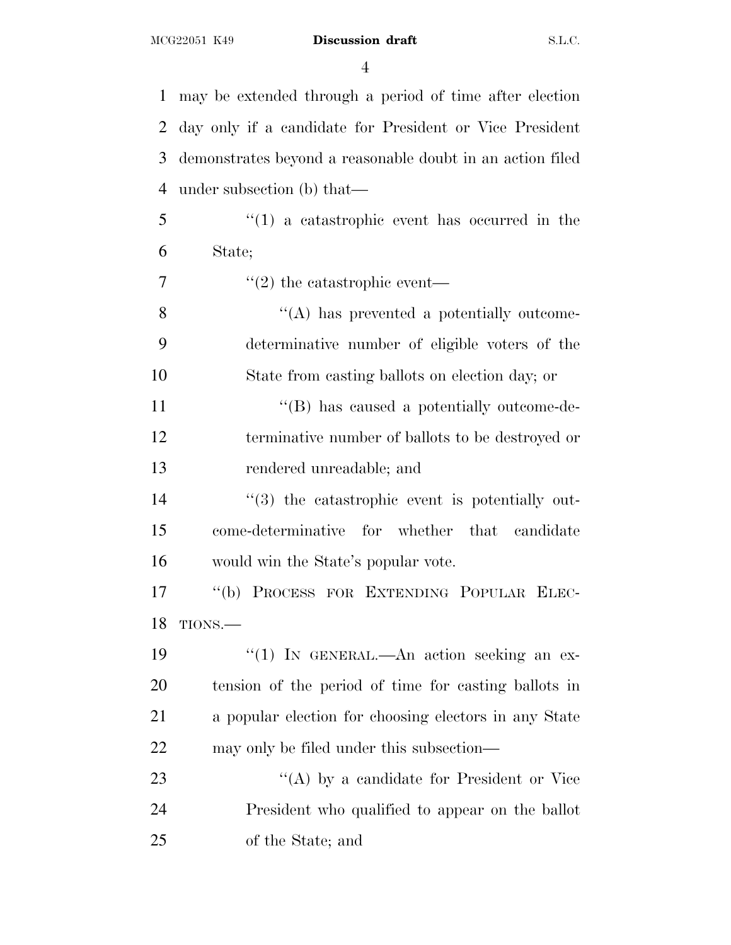may be extended through a period of time after election day only if a candidate for President or Vice President demonstrates beyond a reasonable doubt in an action filed under subsection (b) that— ''(1) a catastrophic event has occurred in the State;  $7 \t$  ''(2) the catastrophic event— 8 ''(A) has prevented a potentially outcome- determinative number of eligible voters of the State from casting ballots on election day; or 11 ''(B) has caused a potentially outcome-de- terminative number of ballots to be destroyed or rendered unreadable; and  $\frac{1}{3}$  the catastrophic event is potentially out- come-determinative for whether that candidate would win the State's popular vote. ''(b) PROCESS FOR EXTENDING POPULAR ELEC- TIONS.— 19 ''(1) In GENERAL.—An action seeking an ex- tension of the period of time for casting ballots in a popular election for choosing electors in any State may only be filed under this subsection— 23 "(A) by a candidate for President or Vice President who qualified to appear on the ballot of the State; and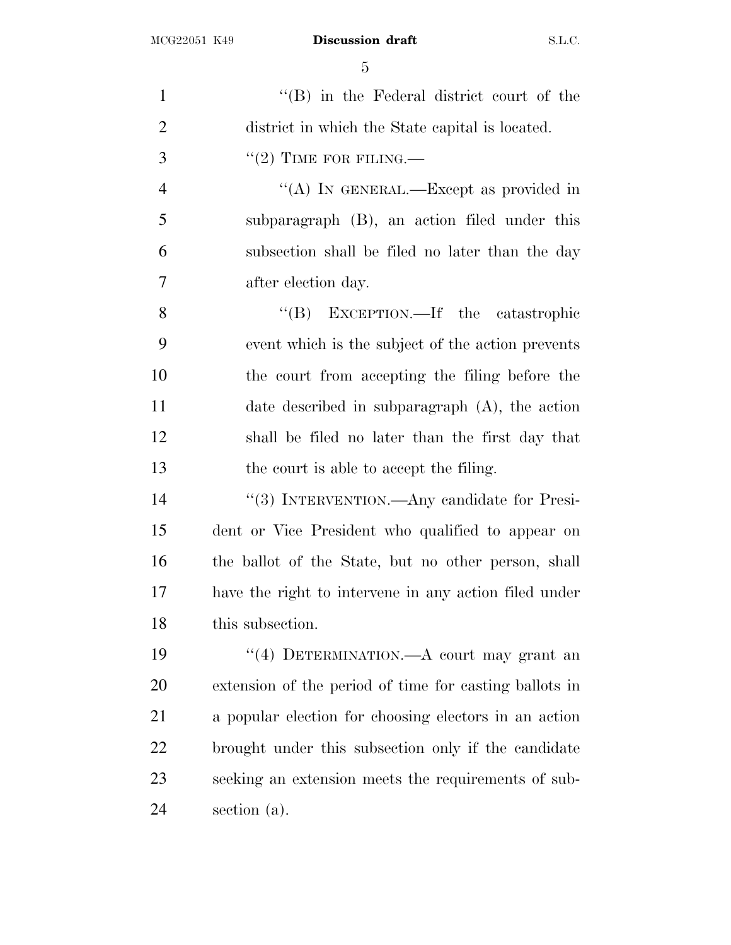1 ''(B) in the Federal district court of the district in which the State capital is located. "(2) TIME FOR FILING.— ''(A) IN GENERAL.—Except as provided in subparagraph (B), an action filed under this subsection shall be filed no later than the day after election day. 8 "(B) EXCEPTION.—If the catastrophic event which is the subject of the action prevents the court from accepting the filing before the date described in subparagraph (A), the action shall be filed no later than the first day that the court is able to accept the filing. ''(3) INTERVENTION.—Any candidate for Presi- dent or Vice President who qualified to appear on the ballot of the State, but no other person, shall have the right to intervene in any action filed under this subsection. ''(4) DETERMINATION.—A court may grant an extension of the period of time for casting ballots in a popular election for choosing electors in an action brought under this subsection only if the candidate seeking an extension meets the requirements of sub-section (a).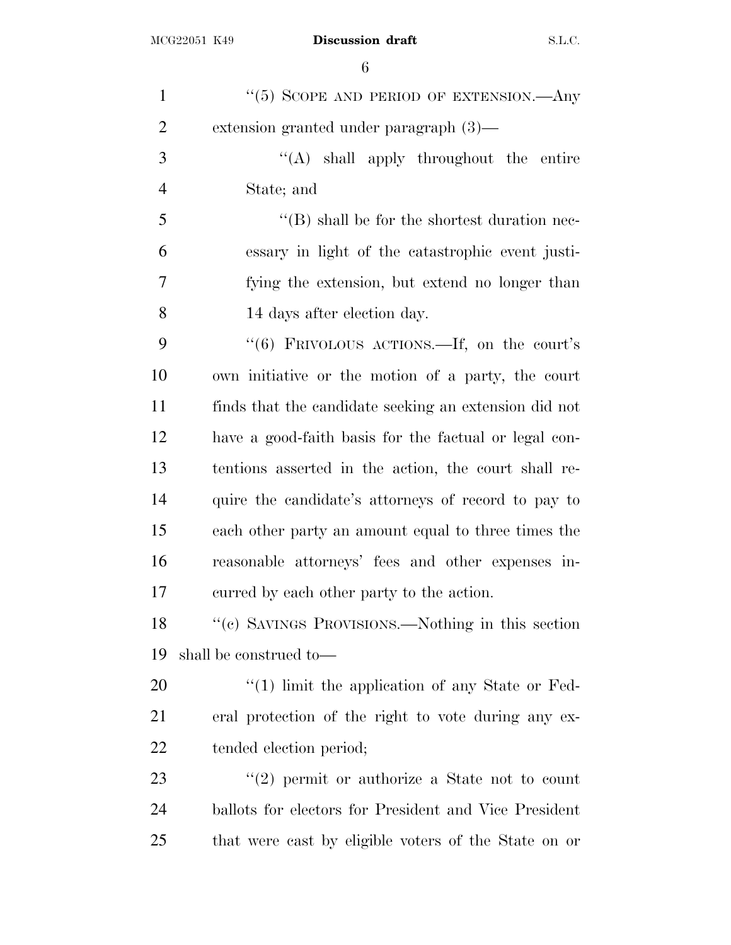| $\mathbf{1}$   | "(5) SCOPE AND PERIOD OF EXTENSION.—Any               |
|----------------|-------------------------------------------------------|
| $\overline{2}$ | extension granted under paragraph $(3)$ —             |
| 3              | "(A) shall apply throughout the entire                |
| $\overline{4}$ | State; and                                            |
| 5              | $\lq\lq (B)$ shall be for the shortest duration nec-  |
| 6              | essary in light of the catastrophic event justi-      |
| 7              | fying the extension, but extend no longer than        |
| 8              | 14 days after election day.                           |
| 9              | "(6) FRIVOLOUS ACTIONS.—If, on the court's            |
| 10             | own initiative or the motion of a party, the court    |
| 11             | finds that the candidate seeking an extension did not |
| 12             | have a good-faith basis for the factual or legal con- |
| 13             | tentions asserted in the action, the court shall re-  |
| 14             | quire the candidate's attorneys of record to pay to   |
| 15             | each other party an amount equal to three times the   |
| 16             | reasonable attorneys' fees and other expenses in-     |
| 17             | curred by each other party to the action.             |
| 18             | "(c) SAVINGS PROVISIONS.—Nothing in this section      |
| 19             | shall be construed to—                                |
| 20             | $\lq(1)$ limit the application of any State or Fed-   |
| 21             | eral protection of the right to vote during any ex-   |
| 22             | tended election period;                               |
| 23             | $\lq(2)$ permit or authorize a State not to count     |
| 24             | ballots for electors for President and Vice President |
| 25             | that were cast by eligible voters of the State on or  |
|                |                                                       |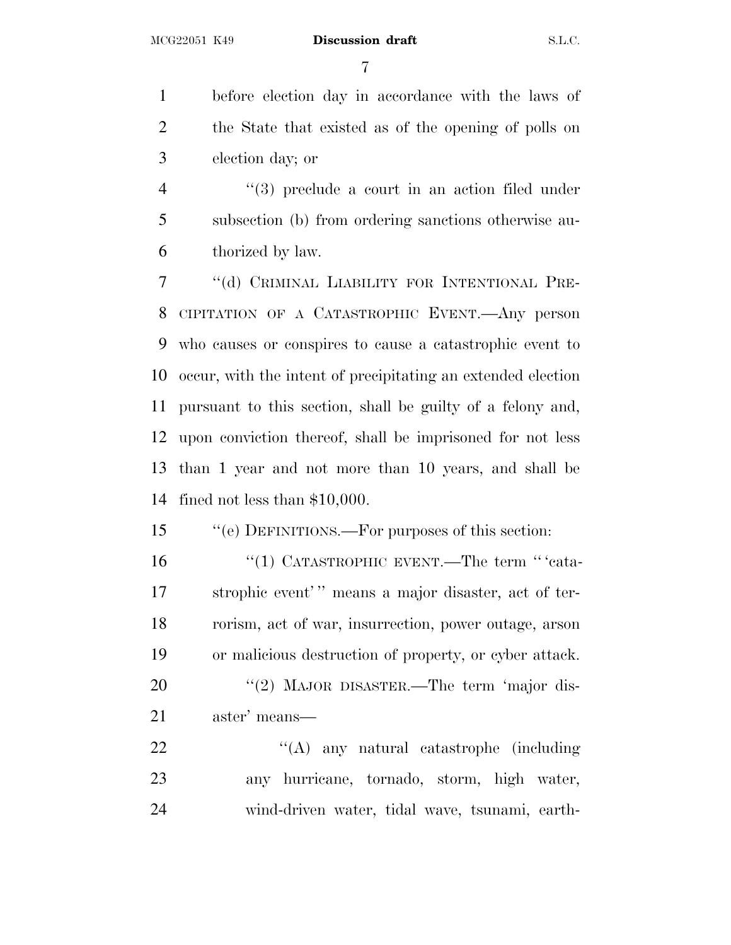before election day in accordance with the laws of the State that existed as of the opening of polls on election day; or

4 ''(3) preclude a court in an action filed under subsection (b) from ordering sanctions otherwise au-thorized by law.

 ''(d) CRIMINAL LIABILITY FOR INTENTIONAL PRE- CIPITATION OF A CATASTROPHIC EVENT.—Any person who causes or conspires to cause a catastrophic event to occur, with the intent of precipitating an extended election pursuant to this section, shall be guilty of a felony and, upon conviction thereof, shall be imprisoned for not less than 1 year and not more than 10 years, and shall be fined not less than \$10,000.

''(e) DEFINITIONS.—For purposes of this section:

 ''(1) CATASTROPHIC EVENT.—The term '' 'cata-17 strophic event'' means a major disaster, act of ter- rorism, act of war, insurrection, power outage, arson or malicious destruction of property, or cyber attack.

20 "(2) MAJOR DISASTER.—The term 'major dis-aster' means—

22 "'(A) any natural catastrophe (including any hurricane, tornado, storm, high water, wind-driven water, tidal wave, tsunami, earth-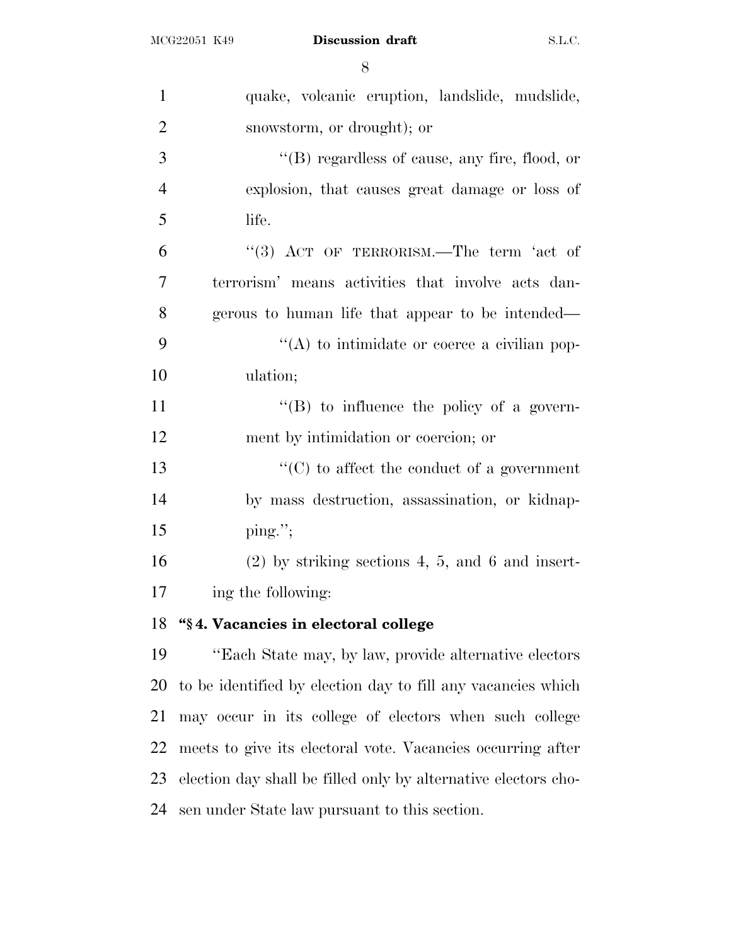| $\mathbf{1}$   | quake, volcanic eruption, landslide, mudslide,                 |
|----------------|----------------------------------------------------------------|
| $\overline{2}$ | snowstorm, or drought); or                                     |
| 3              | "(B) regardless of cause, any fire, flood, or                  |
| $\overline{4}$ | explosion, that causes great damage or loss of                 |
| 5              | life.                                                          |
| 6              | "(3) ACT OF TERRORISM.—The term 'act of                        |
| 7              | terrorism' means activities that involve acts dan-             |
| 8              | gerous to human life that appear to be intended—               |
| 9              | $\lq\lq$ to intimidate or coerce a civilian pop-               |
| 10             | ulation;                                                       |
| 11             | "(B) to influence the policy of a govern-                      |
| 12             | ment by intimidation or coercion; or                           |
| 13             | $\lq\lq$ (C) to affect the conduct of a government             |
| 14             | by mass destruction, assassination, or kidnap-                 |
| 15             | $\text{ping."};$                                               |
| 16             | $(2)$ by striking sections 4, 5, and 6 and insert-             |
| 17             | ing the following:                                             |
| 18             | "§4. Vacancies in electoral college                            |
| 19             | "Each State may, by law, provide alternative electors"         |
| 20             | to be identified by election day to fill any vacancies which   |
| 21             | may occur in its college of electors when such college         |
| 22             | meets to give its electoral vote. Vacancies occurring after    |
| 23             | election day shall be filled only by alternative electors cho- |

sen under State law pursuant to this section.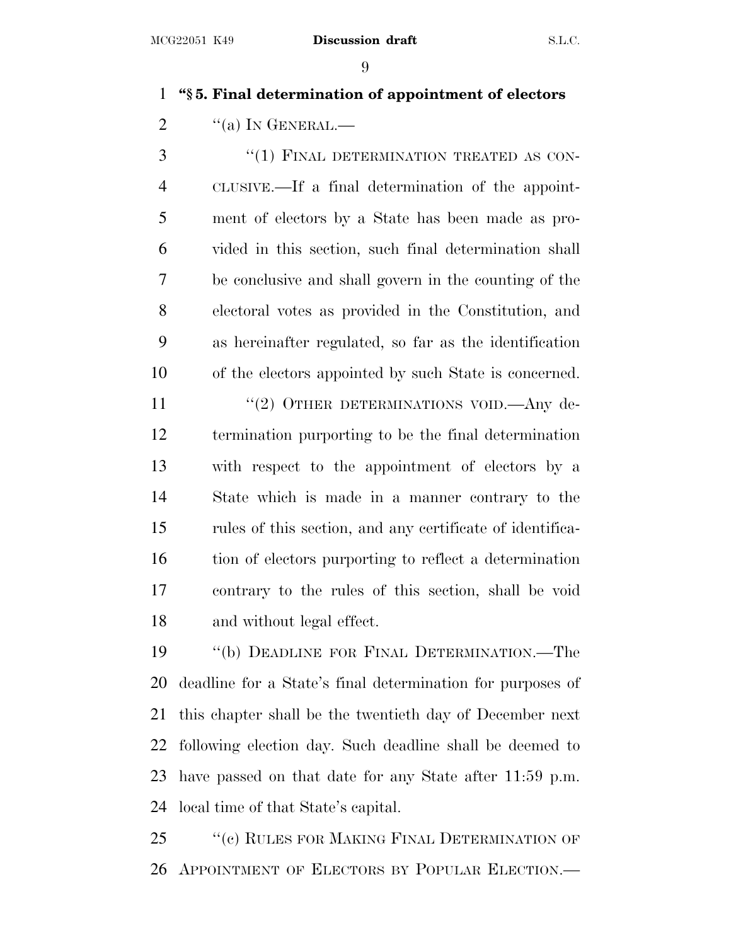## **''§ 5. Final determination of appointment of electors**

2  $\frac{1}{2}$   $\frac{1}{2}$   $\frac{1}{2}$   $\frac{1}{2}$   $\frac{1}{2}$   $\frac{1}{2}$   $\frac{1}{2}$   $\frac{1}{2}$   $\frac{1}{2}$   $\frac{1}{2}$   $\frac{1}{2}$   $\frac{1}{2}$   $\frac{1}{2}$   $\frac{1}{2}$   $\frac{1}{2}$   $\frac{1}{2}$   $\frac{1}{2}$   $\frac{1}{2}$   $\frac{1}{2}$   $\frac{1}{2}$   $\frac{1}{2}$   $\frac{1}{2}$ 

3 "(1) FINAL DETERMINATION TREATED AS CON- CLUSIVE.—If a final determination of the appoint- ment of electors by a State has been made as pro- vided in this section, such final determination shall be conclusive and shall govern in the counting of the electoral votes as provided in the Constitution, and as hereinafter regulated, so far as the identification of the electors appointed by such State is concerned.

11 "(2) OTHER DETERMINATIONS VOID.—Any de- termination purporting to be the final determination with respect to the appointment of electors by a State which is made in a manner contrary to the rules of this section, and any certificate of identifica- tion of electors purporting to reflect a determination contrary to the rules of this section, shall be void and without legal effect.

 ''(b) DEADLINE FOR FINAL DETERMINATION.—The deadline for a State's final determination for purposes of this chapter shall be the twentieth day of December next following election day. Such deadline shall be deemed to have passed on that date for any State after 11:59 p.m. local time of that State's capital.

25 "(c) RULES FOR MAKING FINAL DETERMINATION OF APPOINTMENT OF ELECTORS BY POPULAR ELECTION.—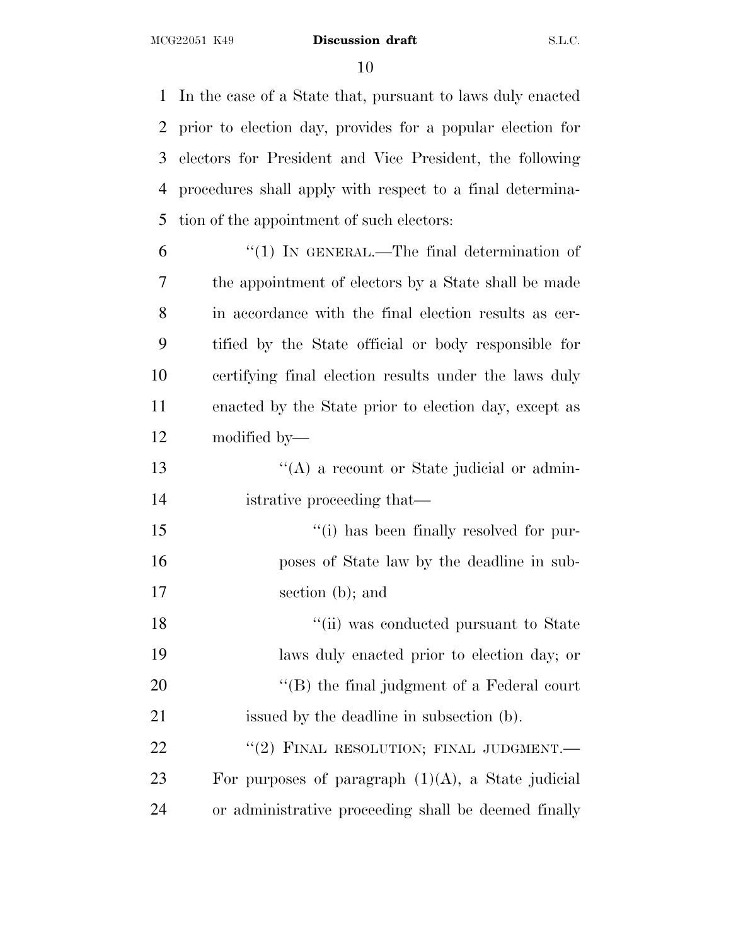In the case of a State that, pursuant to laws duly enacted prior to election day, provides for a popular election for electors for President and Vice President, the following procedures shall apply with respect to a final determina-tion of the appointment of such electors:

| 6  | $\lq(1)$ In GENERAL.—The final determination of       |
|----|-------------------------------------------------------|
| 7  | the appointment of electors by a State shall be made  |
| 8  | in accordance with the final election results as cer- |
| 9  | tified by the State official or body responsible for  |
| 10 | certifying final election results under the laws duly |
| 11 | enacted by the State prior to election day, except as |
| 12 | modified by—                                          |
| 13 | "(A) a recount or State judicial or admin-            |
|    |                                                       |

istrative proceeding that—

 ''(i) has been finally resolved for pur- poses of State law by the deadline in sub-section (b); and

18  $\frac{1}{10}$  was conducted pursuant to State laws duly enacted prior to election day; or 20 "'(B) the final judgment of a Federal court issued by the deadline in subsection (b). 22 "(2) FINAL RESOLUTION; FINAL JUDGMENT.

23 For purposes of paragraph  $(1)(A)$ , a State judicial or administrative proceeding shall be deemed finally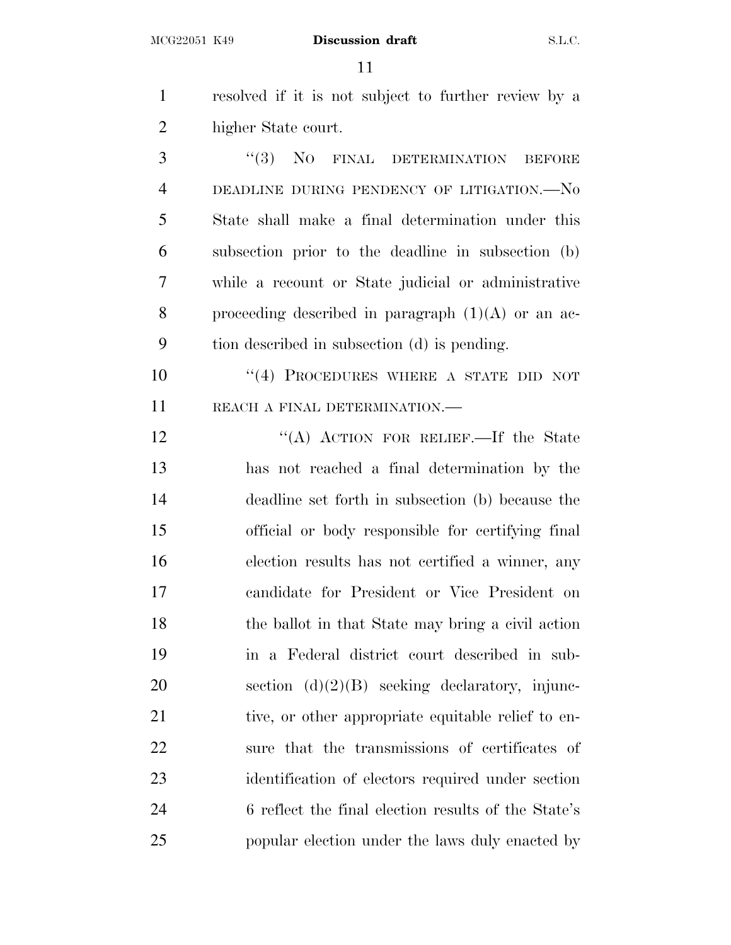| $\mathbf{1}$   | resolved if it is not subject to further review by a |
|----------------|------------------------------------------------------|
| $\overline{2}$ | higher State court.                                  |
| 3              | "(3) NO FINAL DETERMINATION BEFORE                   |
| $\overline{4}$ | DEADLINE DURING PENDENCY OF LITIGATION.—NO           |
| 5              | State shall make a final determination under this    |
| 6              | subsection prior to the deadline in subsection (b)   |
| 7              | while a recount or State judicial or administrative  |
| 8              | proceeding described in paragraph $(1)(A)$ or an ac- |
| 9              | tion described in subsection (d) is pending.         |
| 10             | "(4) PROCEDURES WHERE A STATE DID NOT                |
| 11             | REACH A FINAL DETERMINATION.-                        |
| 12             | "(A) ACTION FOR RELIEF.—If the State                 |
| 13             | has not reached a final determination by the         |
| 14             | deadline set forth in subsection (b) because the     |
| 15             | official or body responsible for certifying final    |
| 16             | election results has not certified a winner, any     |
| 17             | candidate for President or Vice President on         |
| 18             | the ballot in that State may bring a civil action    |
| 19             | in a Federal district court described in sub-        |
| 20             | section $(d)(2)(B)$ seeking declaratory, injunc-     |
| 21             | tive, or other appropriate equitable relief to en-   |
| 22             | sure that the transmissions of certificates of       |
| 23             | identification of electors required under section    |
| 24             | 6 reflect the final election results of the State's  |

popular election under the laws duly enacted by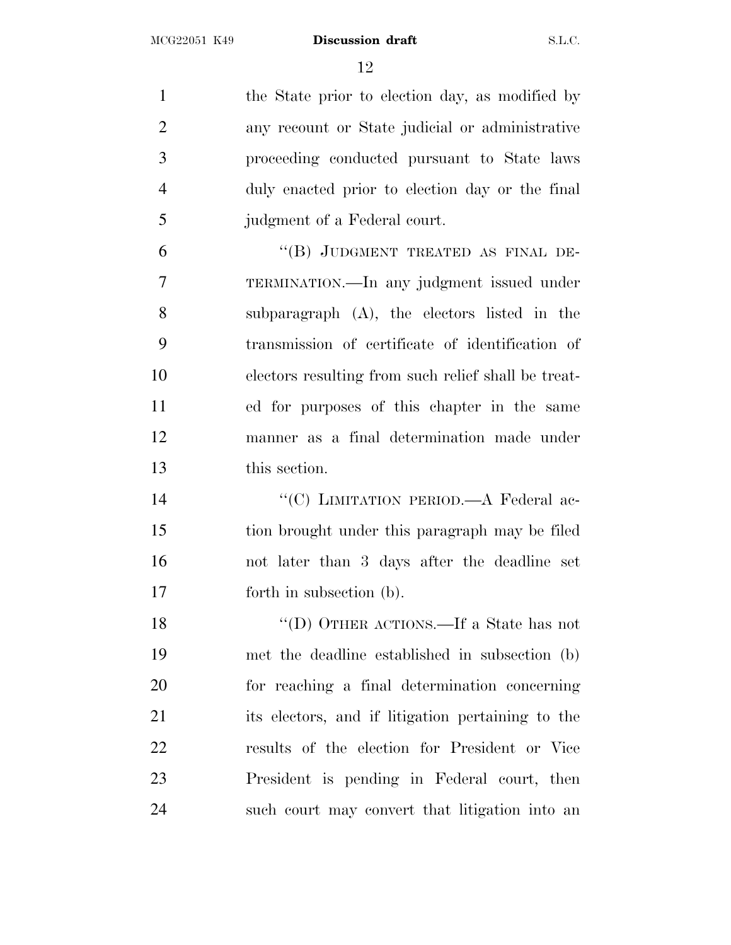1 the State prior to election day, as modified by any recount or State judicial or administrative proceeding conducted pursuant to State laws duly enacted prior to election day or the final judgment of a Federal court. 6 "(B) JUDGMENT TREATED AS FINAL DE- TERMINATION.—In any judgment issued under subparagraph (A), the electors listed in the transmission of certificate of identification of electors resulting from such relief shall be treat- ed for purposes of this chapter in the same manner as a final determination made under this section. 14 "'(C) LIMITATION PERIOD.—A Federal ac- tion brought under this paragraph may be filed not later than 3 days after the deadline set forth in subsection (b). 18 "'(D) OTHER ACTIONS.—If a State has not met the deadline established in subsection (b) for reaching a final determination concerning its electors, and if litigation pertaining to the results of the election for President or Vice President is pending in Federal court, then such court may convert that litigation into an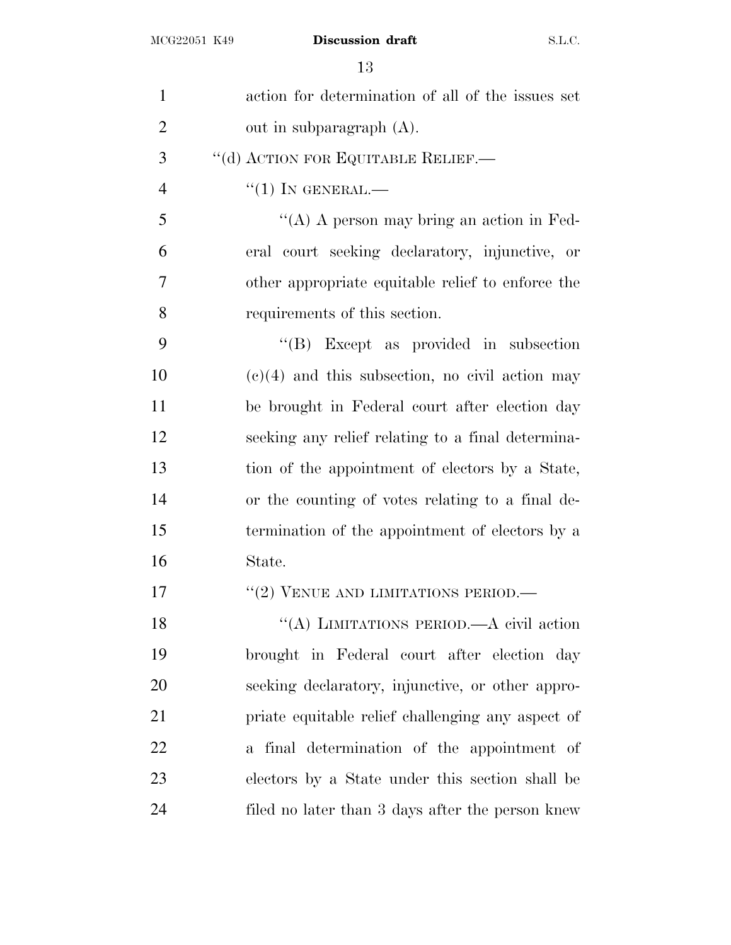| $\mathbf{1}$   | action for determination of all of the issues set |
|----------------|---------------------------------------------------|
| $\overline{2}$ | out in subparagraph (A).                          |
| 3              | "(d) ACTION FOR EQUITABLE RELIEF.-                |
| $\overline{4}$ | $``(1)$ IN GENERAL.—                              |
| 5              | "(A) A person may bring an action in Fed-         |
| 6              | eral court seeking declaratory, injunctive, or    |
| 7              | other appropriate equitable relief to enforce the |
| 8              | requirements of this section.                     |
| 9              | $\lq\lq(B)$ Except as provided in subsection      |
| 10             | $(e)(4)$ and this subsection, no civil action may |
| 11             | be brought in Federal court after election day    |
| 12             | seeking any relief relating to a final determina- |
| 13             | tion of the appointment of electors by a State,   |
| 14             | or the counting of votes relating to a final de-  |
| 15             | termination of the appointment of electors by a   |
| 16             | State.                                            |
| 17             | "(2) VENUE AND LIMITATIONS PERIOD.—               |
| 18             | "(A) LIMITATIONS PERIOD.—A civil action           |
| 19             | brought in Federal court after election day       |
| 20             | seeking declaratory, injunctive, or other appro-  |
| 21             | priate equitable relief challenging any aspect of |
| 22             | a final determination of the appointment of       |
| 23             | electors by a State under this section shall be   |
| 24             | filed no later than 3 days after the person knew  |
|                |                                                   |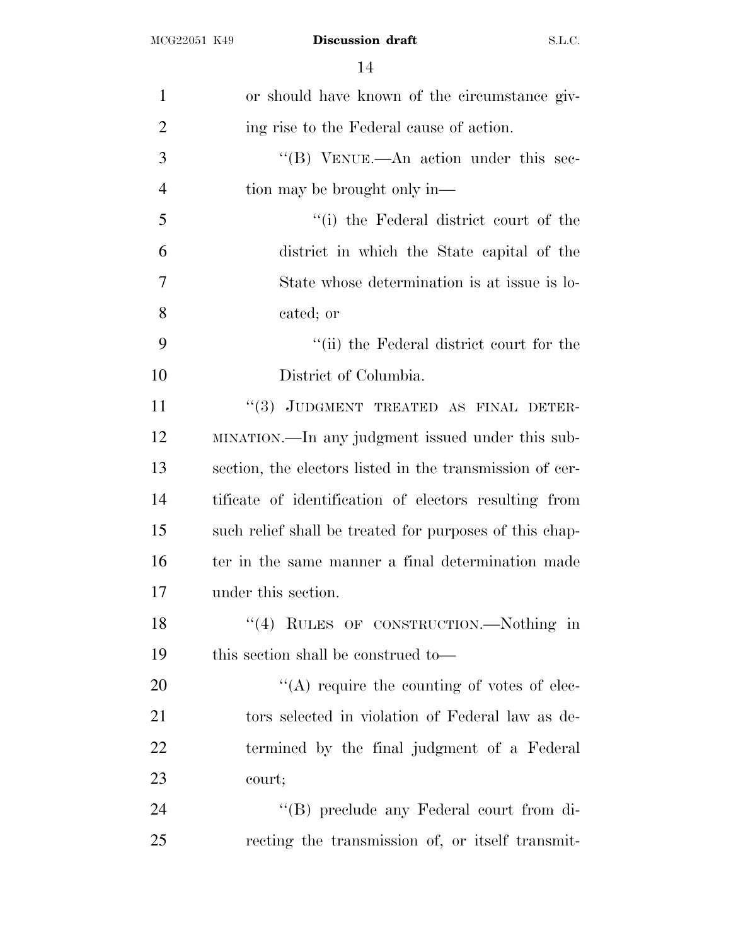| $\mathbf{1}$   | or should have known of the circumstance giv-            |
|----------------|----------------------------------------------------------|
| $\overline{2}$ | ing rise to the Federal cause of action.                 |
| 3              | "(B) VENUE.—An action under this sec-                    |
| $\overline{4}$ | tion may be brought only in—                             |
| 5              | "(i) the Federal district court of the                   |
| 6              | district in which the State capital of the               |
| 7              | State whose determination is at issue is lo-             |
| 8              | cated; or                                                |
| 9              | "(ii) the Federal district court for the                 |
| 10             | District of Columbia.                                    |
| 11             | "(3) JUDGMENT TREATED AS FINAL DETER-                    |
| 12             | MINATION.—In any judgment issued under this sub-         |
| 13             | section, the electors listed in the transmission of cer- |
| 14             | tificate of identification of electors resulting from    |
| 15             | such relief shall be treated for purposes of this chap-  |
| 16             | ter in the same manner a final determination made        |
| 17             | under this section.                                      |
| 18             | "(4) RULES OF CONSTRUCTION.—Nothing in                   |
| 19             | this section shall be construed to-                      |
| 20             | $\lq\lq$ require the counting of votes of elec-          |
| 21             | tors selected in violation of Federal law as de-         |
| 22             | termined by the final judgment of a Federal              |
| 23             | court;                                                   |
| 24             | "(B) preclude any Federal court from di-                 |
| 25             | recting the transmission of, or itself transmit-         |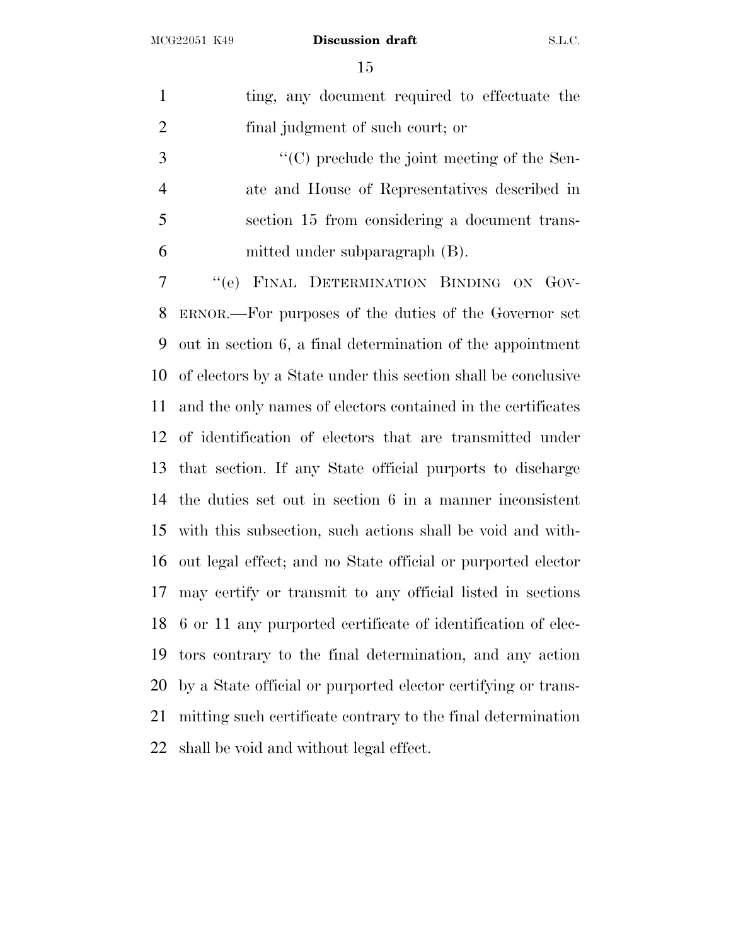| $\mathbf{1}$   | ting, any document required to effectuate the                 |
|----------------|---------------------------------------------------------------|
| $\overline{2}$ | final judgment of such court; or                              |
| 3              | "(C) preclude the joint meeting of the Sen-                   |
| $\overline{4}$ | ate and House of Representatives described in                 |
| 5              | section 15 from considering a document trans-                 |
| 6              | mitted under subparagraph (B).                                |
| 7              | "(e) FINAL DETERMINATION BINDING ON GOV-                      |
| 8              | ERNOR.—For purposes of the duties of the Governor set         |
| 9              | out in section 6, a final determination of the appointment    |
| 10             | of electors by a State under this section shall be conclusive |
| 11             | and the only names of electors contained in the certificates  |
| 12             | of identification of electors that are transmitted under      |
| 13             | that section. If any State official purports to discharge     |
| 14             | the duties set out in section 6 in a manner inconsistent      |
| 15             | with this subsection, such actions shall be void and with-    |
| 16             | out legal effect; and no State official or purported elector  |
| 17             | may certify or transmit to any official listed in sections    |
| 18             | 6 or 11 any purported certificate of identification of elec-  |
| 19             | tors contrary to the final determination, and any action      |
| 20             | by a State official or purported elector certifying or trans- |
| 21             | mitting such certificate contrary to the final determination  |
| 22             | shall be void and without legal effect.                       |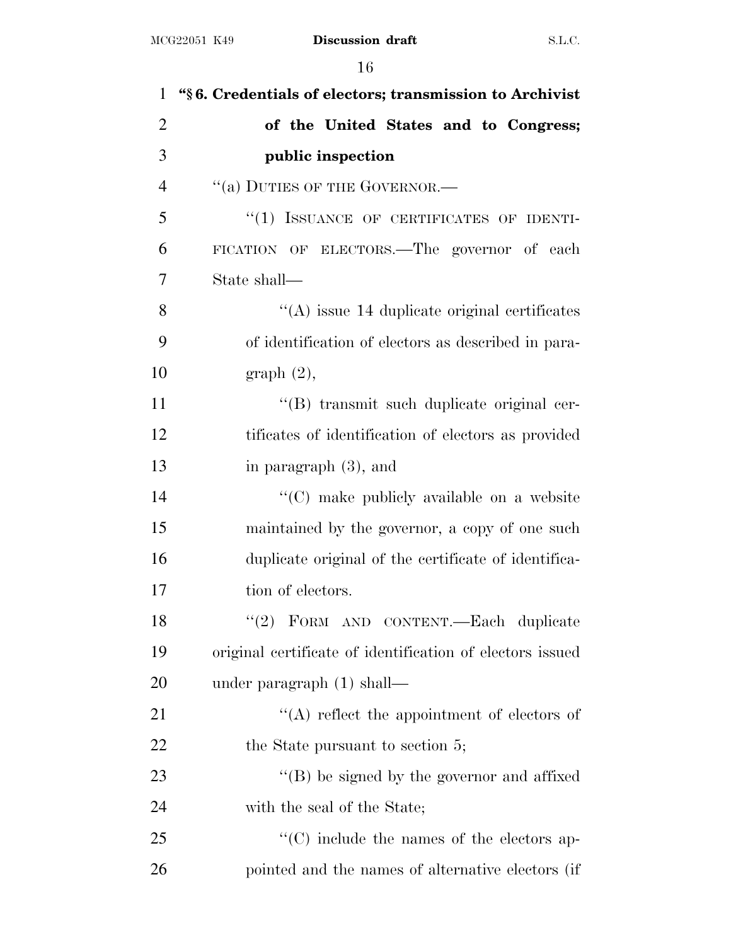| $\mathbf{1}$   | "§6. Credentials of electors; transmission to Archivist   |
|----------------|-----------------------------------------------------------|
| $\overline{2}$ | of the United States and to Congress;                     |
| 3              | public inspection                                         |
| $\overline{4}$ | "(a) DUTIES OF THE GOVERNOR.-                             |
| 5              | "(1) ISSUANCE OF CERTIFICATES OF IDENTI-                  |
| 6              | FICATION OF ELECTORS.—The governor of each                |
| 7              | State shall—                                              |
| 8              | $\lq\lq$ issue 14 duplicate original certificates         |
| 9              | of identification of electors as described in para-       |
| 10             | graph(2),                                                 |
| 11             | "(B) transmit such duplicate original cer-                |
| 12             | tificates of identification of electors as provided       |
| 13             | in paragraph (3), and                                     |
| 14             | "(C) make publicly available on a website                 |
| 15             | maintained by the governor, a copy of one such            |
| 16             | duplicate original of the certificate of identifica-      |
| 17             | tion of electors.                                         |
| 18             | "(2) FORM AND CONTENT.—Each duplicate                     |
| 19             | original certificate of identification of electors issued |
| 20             | under paragraph $(1)$ shall—                              |
| 21             | $\lq\lq$ reflect the appointment of electors of           |
| 22             | the State pursuant to section 5;                          |
| 23             | $\lq\lq$ be signed by the governor and affixed            |
| 24             | with the seal of the State;                               |
| 25             | $\lq\lq$ include the names of the electors ap-            |
| 26             | pointed and the names of alternative electors (if         |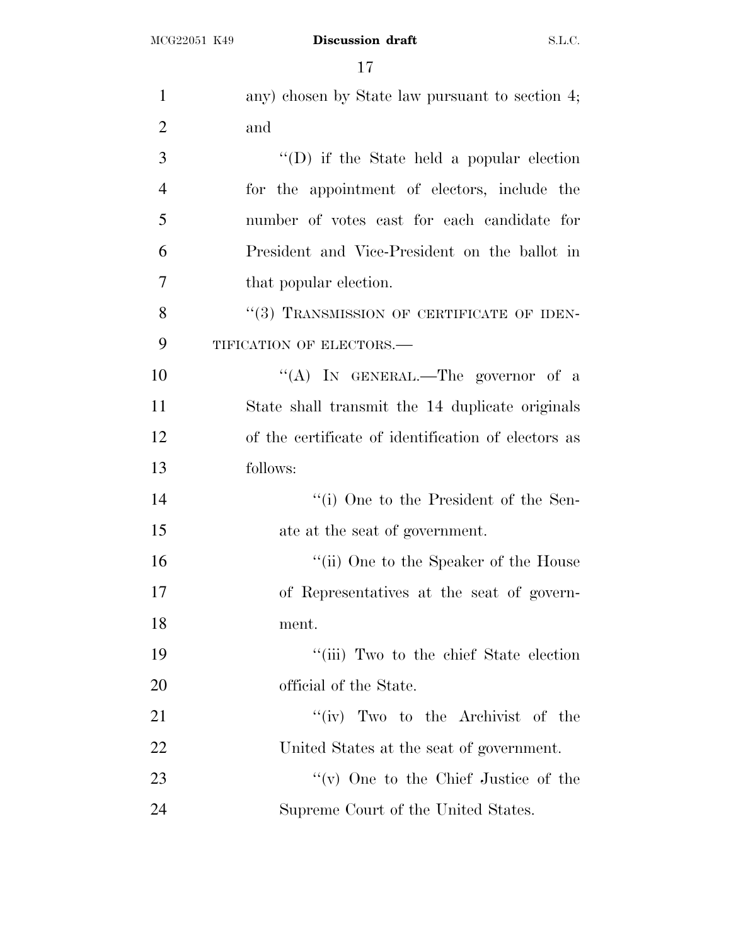| $\mathbf{1}$   | any) chosen by State law pursuant to section 4;     |
|----------------|-----------------------------------------------------|
| $\overline{2}$ | and                                                 |
| 3              | "(D) if the State held a popular election           |
| $\overline{4}$ | for the appointment of electors, include the        |
| 5              | number of votes cast for each candidate for         |
| 6              | President and Vice-President on the ballot in       |
| 7              | that popular election.                              |
| 8              | "(3) TRANSMISSION OF CERTIFICATE OF IDEN-           |
| 9              | TIFICATION OF ELECTORS.-                            |
| 10             | "(A) IN GENERAL.—The governor of a                  |
| 11             | State shall transmit the 14 duplicate originals     |
| 12             | of the certificate of identification of electors as |
| 13             | follows:                                            |
| 14             | "(i) One to the President of the Sen-               |
| 15             | ate at the seat of government.                      |
| 16             | "(ii) One to the Speaker of the House               |
| 17             | of Representatives at the seat of govern-           |
| 18             | ment.                                               |
| 19             | "(iii) Two to the chief State election              |
| 20             | official of the State.                              |
| 21             | "(iv) Two to the Archivist of the                   |
| 22             | United States at the seat of government.            |
| 23             | "(v) One to the Chief Justice of the                |
| 24             | Supreme Court of the United States.                 |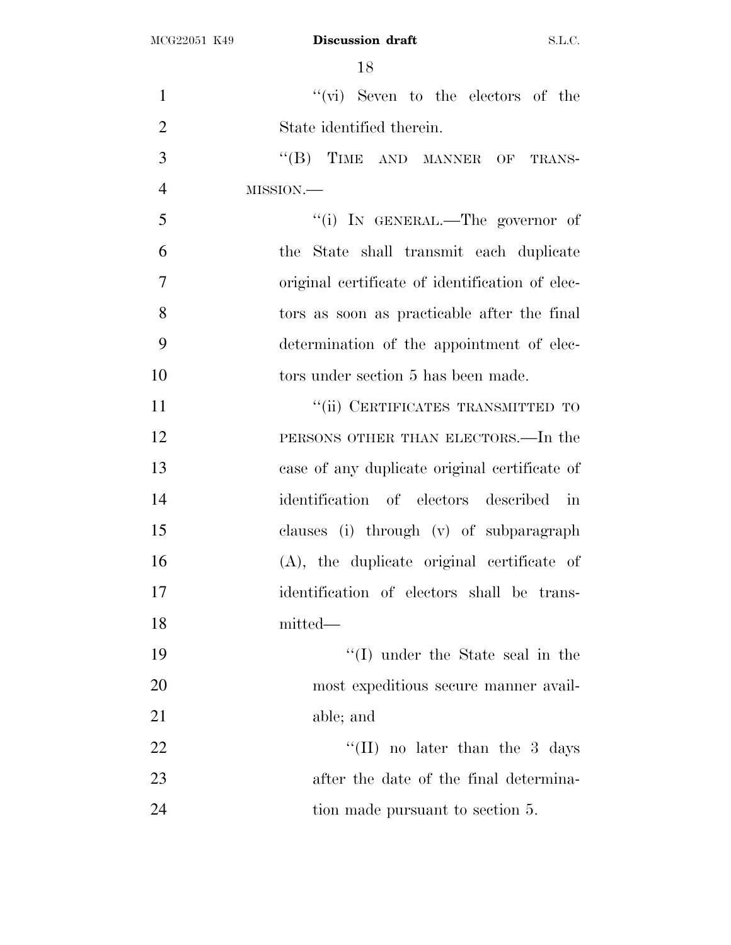| $\mathbf{1}$   | $``(\vec{vi})$ Seven to the electors of the     |
|----------------|-------------------------------------------------|
| $\overline{2}$ | State identified therein.                       |
| 3              | "(B) TIME AND MANNER OF TRANS-                  |
| $\overline{4}$ | MISSION.-                                       |
| 5              | "(i) IN GENERAL.—The governor of                |
| 6              | the State shall transmit each duplicate         |
| $\tau$         | original certificate of identification of elec- |
| 8              | tors as soon as practicable after the final     |
| 9              | determination of the appointment of elec-       |
| 10             | tors under section 5 has been made.             |
| 11             | "(ii) CERTIFICATES TRANSMITTED TO               |
| 12             | PERSONS OTHER THAN ELECTORS.—In the             |
| 13             | case of any duplicate original certificate of   |
| 14             | identification of electors described in         |
| 15             | clauses (i) through (v) of subparagraph         |
| 16             | (A), the duplicate original certificate of      |
| 17             | identification of electors shall be trans-      |
| 18             | mitted—                                         |
| 19             | "(I) under the State seal in the                |
| 20             | most expeditious secure manner avail-           |
| 21             | able; and                                       |
| 22             | "(II) no later than the $3$ days                |
| 23             | after the date of the final determina-          |
| 24             | tion made pursuant to section 5.                |
|                |                                                 |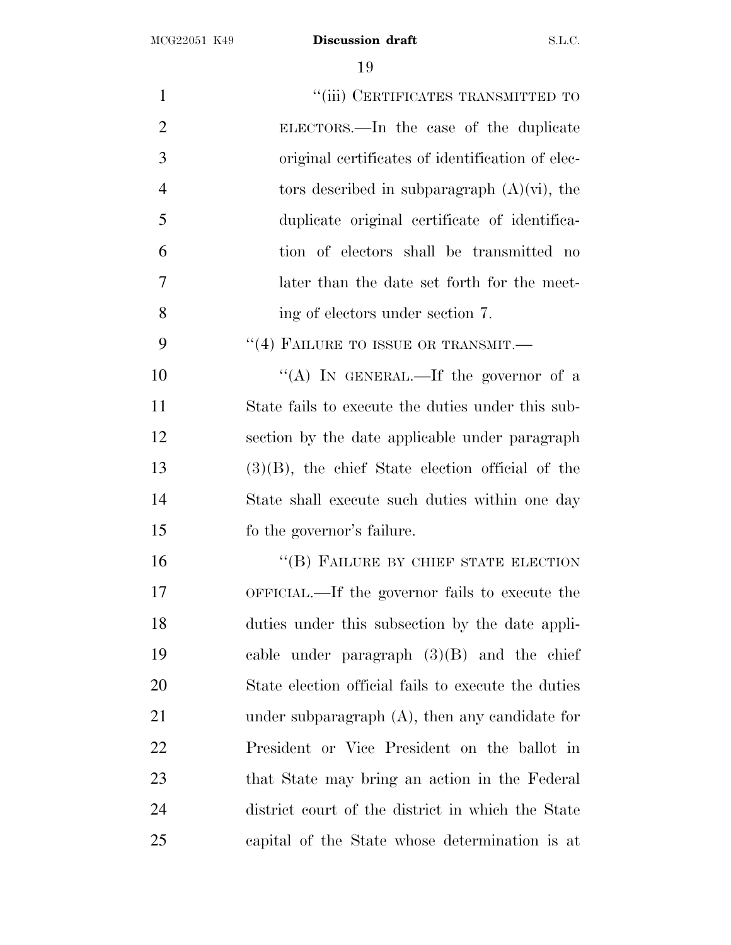| $\mathbf{1}$   | "(iii) CERTIFICATES TRANSMITTED TO                  |
|----------------|-----------------------------------------------------|
| $\overline{2}$ | ELECTORS.—In the case of the duplicate              |
| 3              | original certificates of identification of elec-    |
| $\overline{4}$ | tors described in subparagraph $(A)(\vec{v})$ , the |
| 5              | duplicate original certificate of identifica-       |
| 6              | tion of electors shall be transmitted no            |
| 7              | later than the date set forth for the meet-         |
| 8              | ing of electors under section 7.                    |
| 9              | $\cdot\cdot$ (4) FAILURE TO ISSUE OR TRANSMIT.—     |
| 10             | "(A) IN GENERAL.—If the governor of a               |
| 11             | State fails to execute the duties under this sub-   |
| 12             | section by the date applicable under paragraph      |
| 13             | $(3)(B)$ , the chief State election official of the |
| 14             | State shall execute such duties within one day      |
| 15             | fo the governor's failure.                          |
| 16             | "(B) FAILURE BY CHIEF STATE ELECTION                |
| 17             | OFFICIAL.—If the governor fails to execute the      |
| 18             | duties under this subsection by the date appli-     |
| 19             | cable under paragraph $(3)(B)$ and the chief        |
| 20             | State election official fails to execute the duties |
| 21             | under subparagraph $(A)$ , then any candidate for   |
| 22             | President or Vice President on the ballot in        |
| 23             | that State may bring an action in the Federal       |
| 24             | district court of the district in which the State   |
| 25             | capital of the State whose determination is at      |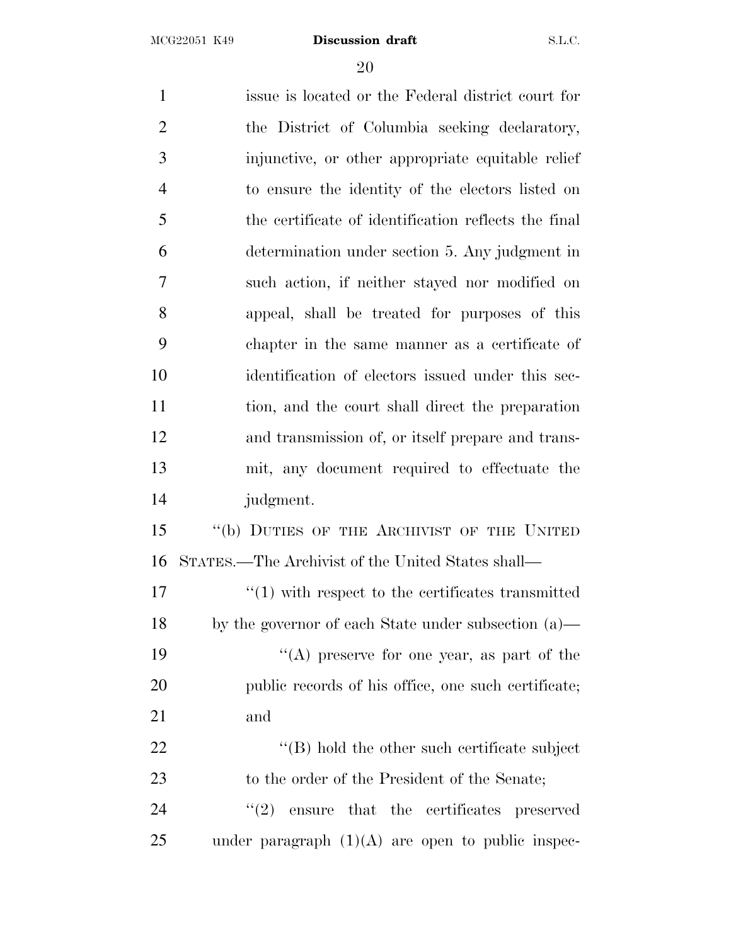issue is located or the Federal district court for the District of Columbia seeking declaratory, injunctive, or other appropriate equitable relief to ensure the identity of the electors listed on the certificate of identification reflects the final determination under section 5. Any judgment in such action, if neither stayed nor modified on appeal, shall be treated for purposes of this chapter in the same manner as a certificate of identification of electors issued under this sec- tion, and the court shall direct the preparation and transmission of, or itself prepare and trans- mit, any document required to effectuate the judgment. 15 "(b) DUTIES OF THE ARCHIVIST OF THE UNITED STATES.—The Archivist of the United States shall—  $\frac{17}{2}$   $\frac{17}{2}$  with respect to the certificates transmitted by the governor of each State under subsection (a)—  $"$ (A) preserve for one year, as part of the public records of his office, one such certificate; and  $\langle (B) \rangle$  hold the other such certificate subject 23 to the order of the President of the Senate;  $\frac{1}{2}$  ensure that the certificates preserved under paragraph  $(1)(A)$  are open to public inspec-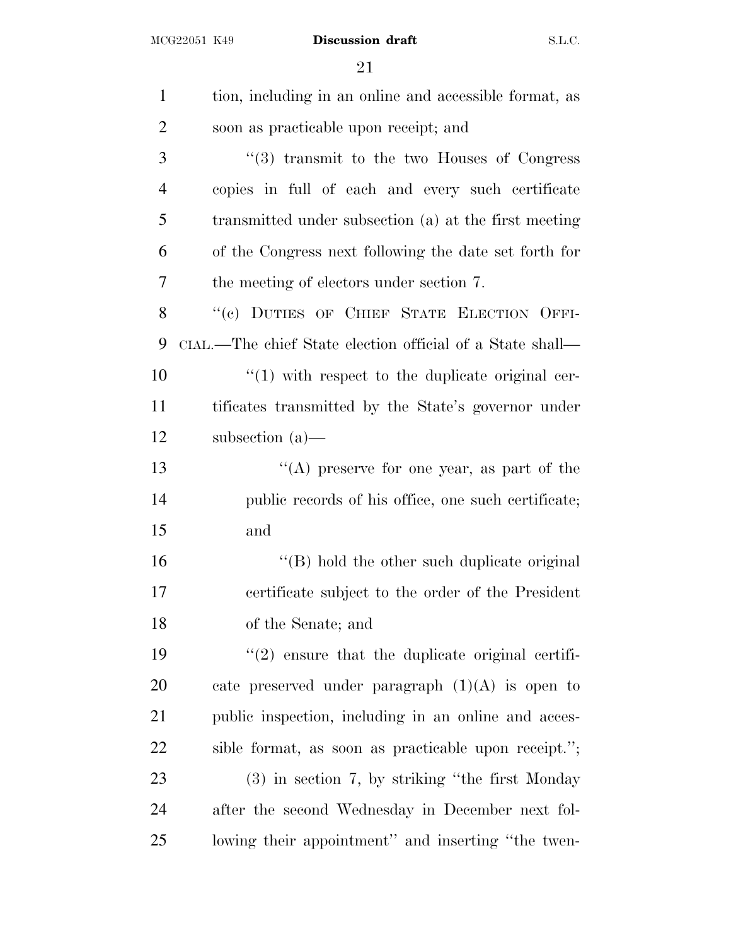| $\mathbf{1}$   | tion, including in an online and accessible format, as    |
|----------------|-----------------------------------------------------------|
| $\overline{2}$ | soon as practicable upon receipt; and                     |
| 3              | $\cdot$ (3) transmit to the two Houses of Congress        |
|                |                                                           |
| $\overline{4}$ | copies in full of each and every such certificate         |
| 5              | transmitted under subsection (a) at the first meeting     |
| 6              | of the Congress next following the date set forth for     |
| 7              | the meeting of electors under section 7.                  |
| 8              | "(c) DUTIES OF CHIEF STATE ELECTION OFFI-                 |
| 9              | CIAL.—The chief State election official of a State shall— |
| 10             | $\lq(1)$ with respect to the duplicate original cer-      |
| 11             | tificates transmitted by the State's governor under       |
| 12             | subsection $(a)$ —                                        |
| 13             | "(A) preserve for one year, as part of the                |
| 14             | public records of his office, one such certificate;       |
| 15             | and                                                       |
| 16             | "(B) hold the other such duplicate original               |
| 17             | certificate subject to the order of the President         |
| 18             | of the Senate; and                                        |
| 19             | $\lq(2)$ ensure that the duplicate original certifi-      |
| 20             | cate preserved under paragraph $(1)(A)$ is open to        |
| 21             | public inspection, including in an online and acces-      |
| 22             | sible format, as soon as practicable upon receipt.";      |
| 23             | $(3)$ in section 7, by striking "the first Monday"        |
| 24             | after the second Wednesday in December next fol-          |
| 25             | lowing their appointment" and inserting "the twen-        |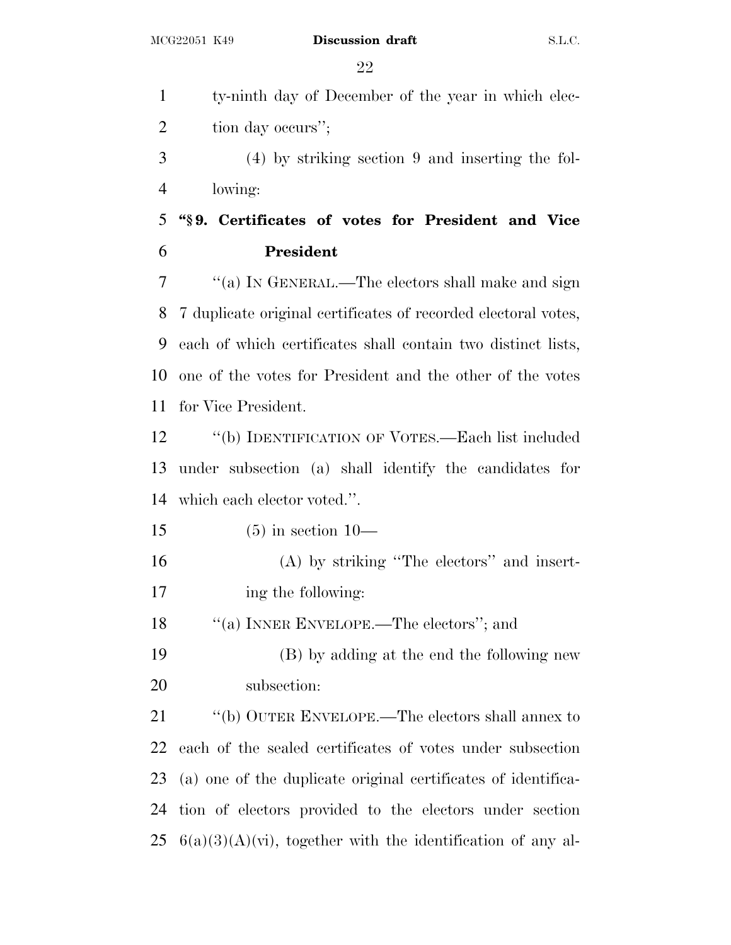ty-ninth day of December of the year in which elec-2 tion day occurs"; (4) by striking section 9 and inserting the fol- lowing: **''§ 9. Certificates of votes for President and Vice President** ''(a) I<sup>N</sup> GENERAL.—The electors shall make and sign 7 duplicate original certificates of recorded electoral votes, each of which certificates shall contain two distinct lists, one of the votes for President and the other of the votes for Vice President. ''(b) IDENTIFICATION OF VOTES.—Each list included under subsection (a) shall identify the candidates for which each elector voted.''. (5) in section 10— (A) by striking ''The electors'' and insert- ing the following: ''(a) INNER ENVELOPE.—The electors''; and (B) by adding at the end the following new subsection: ''(b) OUTER ENVELOPE.—The electors shall annex to each of the sealed certificates of votes under subsection (a) one of the duplicate original certificates of identifica- tion of electors provided to the electors under section  $25 \text{ } 6(a)(3)(A)(vi)$ , together with the identification of any al-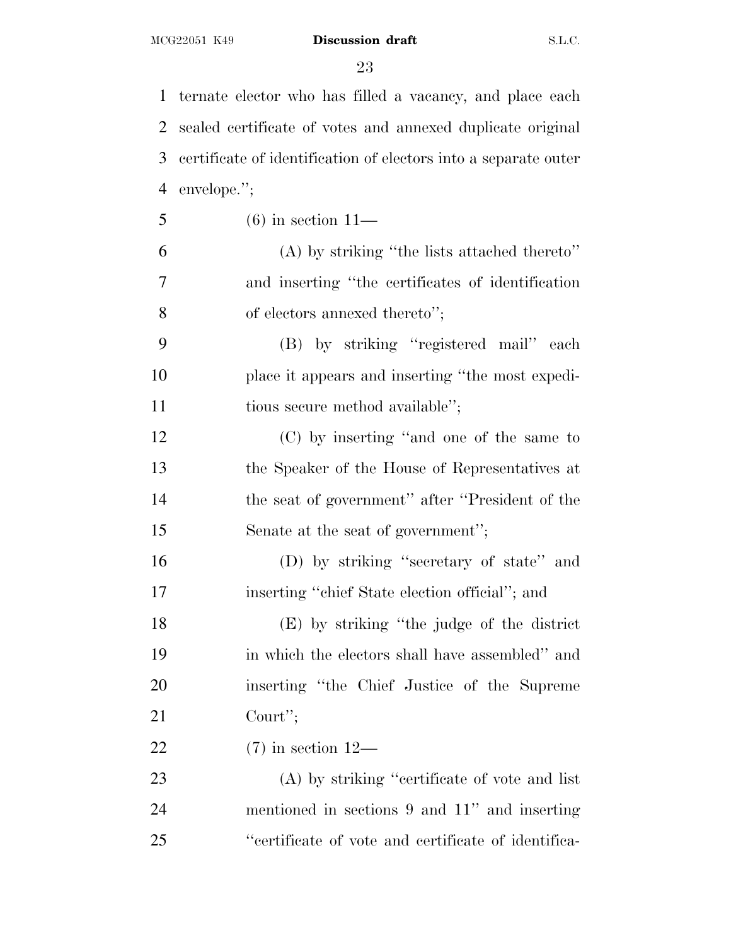ternate elector who has filled a vacancy, and place each

 sealed certificate of votes and annexed duplicate original certificate of identification of electors into a separate outer envelope.''; (6) in section 11— (A) by striking ''the lists attached thereto'' and inserting ''the certificates of identification 8 of electors annexed thereto''; (B) by striking ''registered mail'' each place it appears and inserting ''the most expedi-11 tious secure method available''; (C) by inserting ''and one of the same to the Speaker of the House of Representatives at the seat of government'' after ''President of the 15 Senate at the seat of government"; (D) by striking ''secretary of state'' and inserting ''chief State election official''; and (E) by striking ''the judge of the district in which the electors shall have assembled'' and inserting ''the Chief Justice of the Supreme Court''; (7) in section 12— (A) by striking ''certificate of vote and list mentioned in sections 9 and 11'' and inserting ''certificate of vote and certificate of identifica-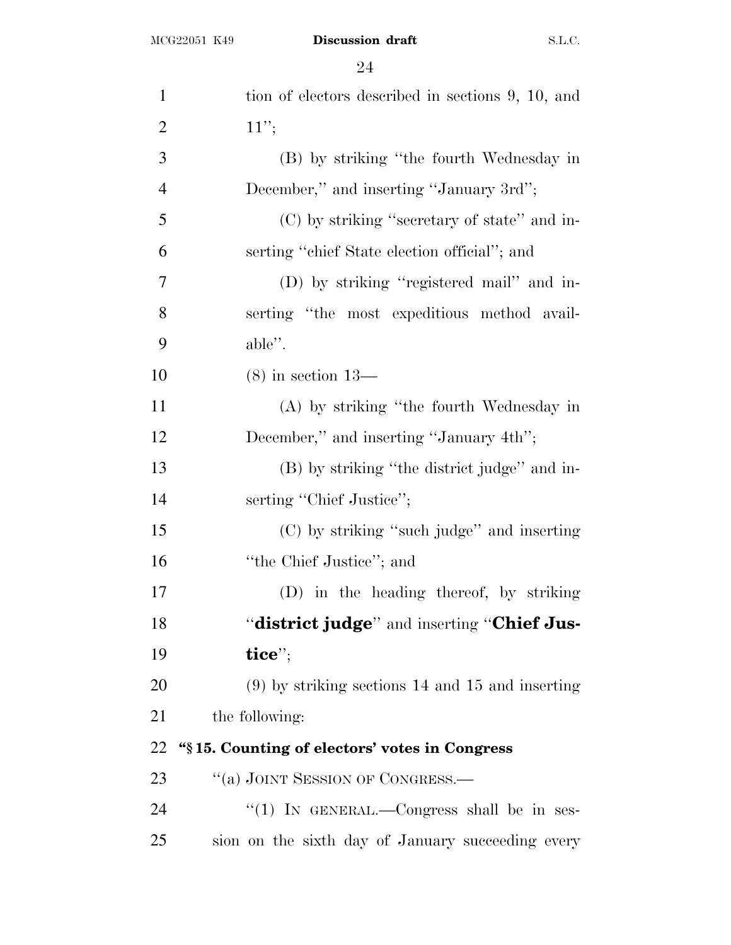| $\mathbf{1}$   | tion of electors described in sections 9, 10, and  |
|----------------|----------------------------------------------------|
| $\overline{2}$ | 11";                                               |
| 3              | (B) by striking "the fourth Wednesday in           |
| $\overline{4}$ | December," and inserting "January 3rd";            |
| 5              | (C) by striking "secretary of state" and in-       |
| 6              | serting "chief State election official"; and       |
| $\tau$         | (D) by striking "registered mail" and in-          |
| 8              | serting "the most expeditious method avail-        |
| 9              | able".                                             |
| 10             | $(8)$ in section 13—                               |
| 11             | (A) by striking "the fourth Wednesday in           |
| 12             | December," and inserting "January 4th";            |
| 13             | (B) by striking "the district judge" and in-       |
| 14             | serting "Chief Justice";                           |
| 15             | (C) by striking "such judge" and inserting         |
| 16             | "the Chief Justice"; and                           |
| 17             | (D) in the heading thereof, by striking            |
| 18             | "district judge" and inserting "Chief Jus-         |
| 19             | tice";                                             |
| 20             | $(9)$ by striking sections 14 and 15 and inserting |
| 21             | the following:                                     |
| 22             | "§15. Counting of electors' votes in Congress      |
| 23             | "(a) JOINT SESSION OF CONGRESS.—                   |
| 24             | "(1) IN GENERAL.—Congress shall be in ses-         |
| 25             | sion on the sixth day of January succeeding every  |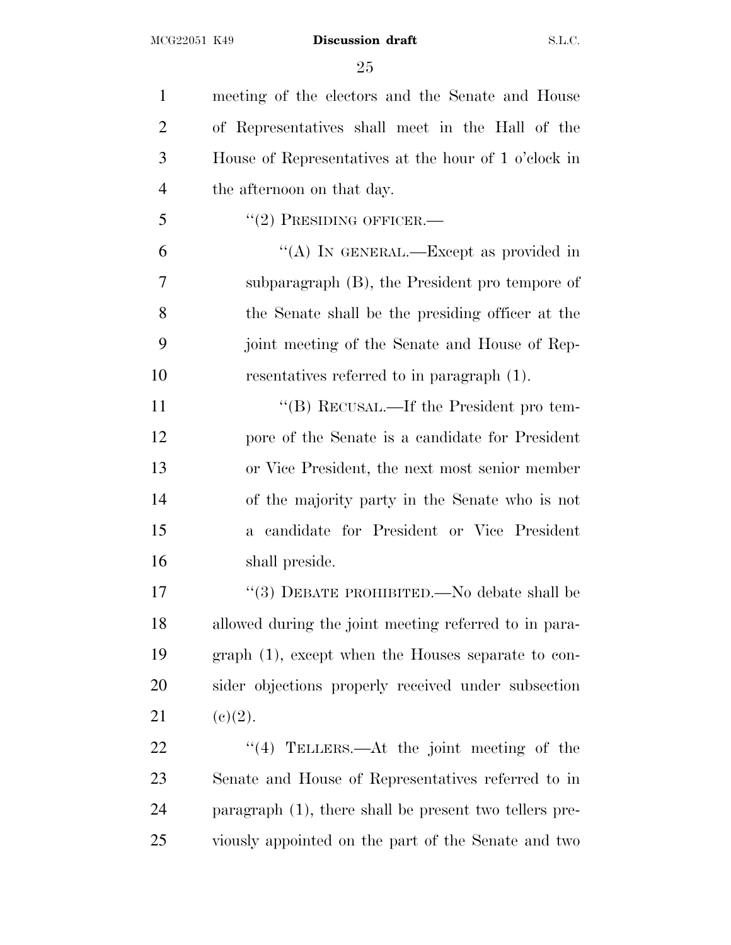meeting of the electors and the Senate and House of Representatives shall meet in the Hall of the House of Representatives at the hour of 1 o'clock in the afternoon on that day.  $\frac{17}{2}$  PRESIDING OFFICER. ''(A) IN GENERAL.—Except as provided in subparagraph (B), the President pro tempore of the Senate shall be the presiding officer at the joint meeting of the Senate and House of Rep- resentatives referred to in paragraph (1). 11 "(B) RECUSAL.—If the President pro tem- pore of the Senate is a candidate for President or Vice President, the next most senior member of the majority party in the Senate who is not a candidate for President or Vice President shall preside. 17 "(3) DEBATE PROHIBITED.—No debate shall be allowed during the joint meeting referred to in para- graph (1), except when the Houses separate to con- sider objections properly received under subsection 21 (e)(2). 22 "(4) TELLERS.—At the joint meeting of the Senate and House of Representatives referred to in paragraph (1), there shall be present two tellers pre-viously appointed on the part of the Senate and two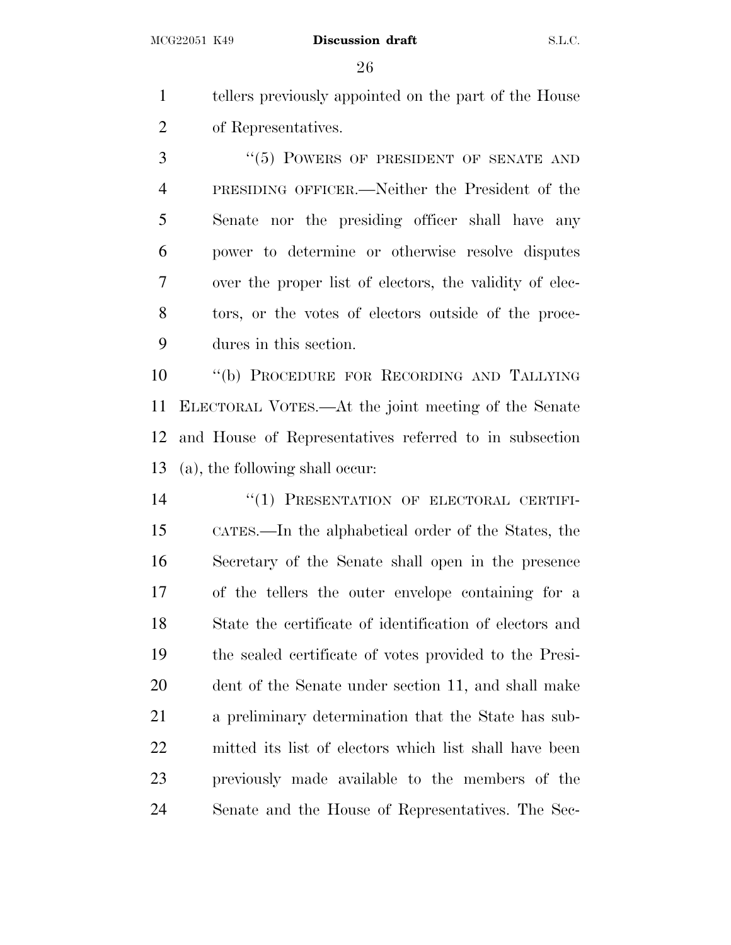tellers previously appointed on the part of the House of Representatives.

3 "(5) POWERS OF PRESIDENT OF SENATE AND PRESIDING OFFICER.—Neither the President of the Senate nor the presiding officer shall have any power to determine or otherwise resolve disputes over the proper list of electors, the validity of elec- tors, or the votes of electors outside of the proce-dures in this section.

 ''(b) PROCEDURE FOR RECORDING AND TALLYING ELECTORAL VOTES.—At the joint meeting of the Senate and House of Representatives referred to in subsection (a), the following shall occur:

14 "(1) PRESENTATION OF ELECTORAL CERTIFI- CATES.—In the alphabetical order of the States, the Secretary of the Senate shall open in the presence of the tellers the outer envelope containing for a State the certificate of identification of electors and the sealed certificate of votes provided to the Presi- dent of the Senate under section 11, and shall make a preliminary determination that the State has sub- mitted its list of electors which list shall have been previously made available to the members of the Senate and the House of Representatives. The Sec-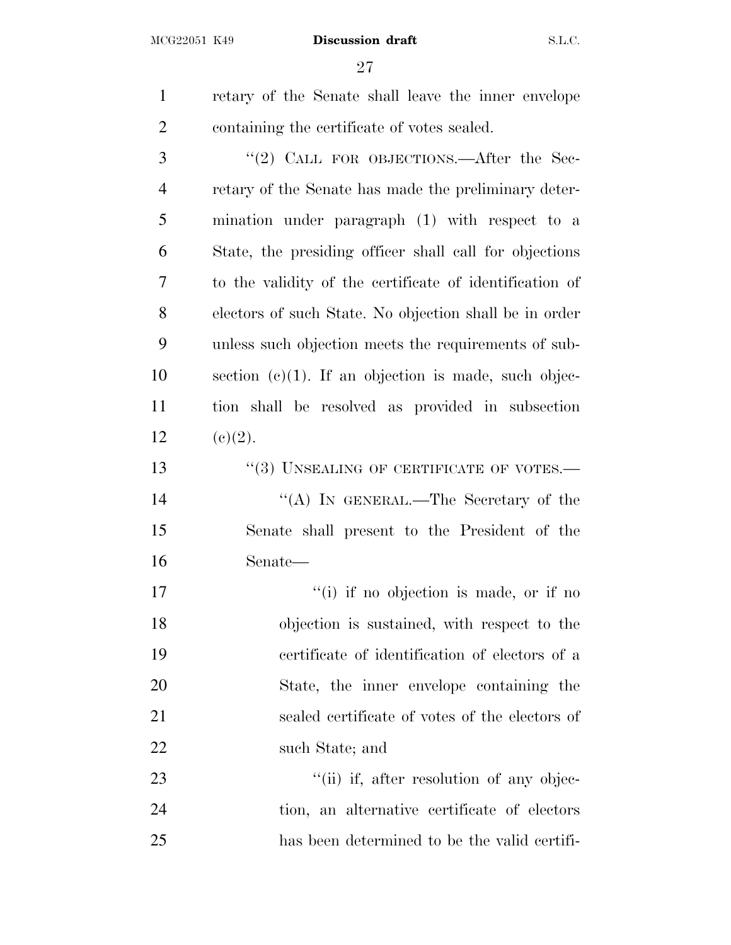| $\mathbf{1}$   | retary of the Senate shall leave the inner envelope     |
|----------------|---------------------------------------------------------|
| $\overline{2}$ | containing the certificate of votes sealed.             |
| 3              | "(2) CALL FOR OBJECTIONS.—After the Sec-                |
| 4              | retary of the Senate has made the preliminary deter-    |
| 5              | mination under paragraph (1) with respect to a          |
| 6              | State, the presiding officer shall call for objections  |
| 7              | to the validity of the certificate of identification of |
| 8              | electors of such State. No objection shall be in order  |
| 9              | unless such objection meets the requirements of sub-    |
| 10             | section $(e)(1)$ . If an objection is made, such objec- |
| 11             | tion shall be resolved as provided in subsection        |
| 12             | (c)(2).                                                 |
| 13             | $\cdot\cdot(3)$ UNSEALING OF CERTIFICATE OF VOTES.—     |
| 14             | "(A) IN GENERAL.—The Secretary of the                   |
| 15             | Senate shall present to the President of the            |
| 16             | Senate—                                                 |
| 17             | "(i) if no objection is made, or if no                  |
| 18             | objection is sustained, with respect to the             |
| 19             | certificate of identification of electors of a          |
| 20             | State, the inner envelope containing the                |
| 21             | sealed certificate of votes of the electors of          |
| 22             | such State; and                                         |
| 23             | "(ii) if, after resolution of any objec-                |
| 24             | tion, an alternative certificate of electors            |
| 25             | has been determined to be the valid certifi-            |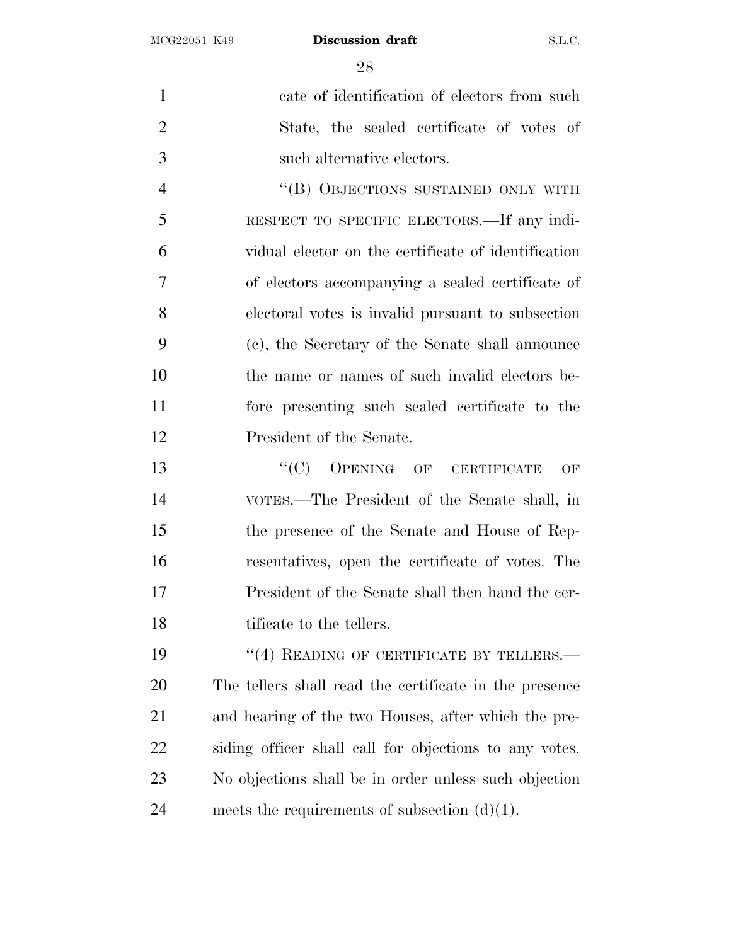cate of identification of electors from such State, the sealed certificate of votes of such alternative electors.

4 "(B) OBJECTIONS SUSTAINED ONLY WITH RESPECT TO SPECIFIC ELECTORS.—If any indi- vidual elector on the certificate of identification of electors accompanying a sealed certificate of electoral votes is invalid pursuant to subsection (c), the Secretary of the Senate shall announce the name or names of such invalid electors be- fore presenting such sealed certificate to the President of the Senate.

13 "(C) OPENING OF CERTIFICATE OF VOTES.—The President of the Senate shall, in the presence of the Senate and House of Rep- resentatives, open the certificate of votes. The President of the Senate shall then hand the cer-18 tificate to the tellers.

19 "(4) READING OF CERTIFICATE BY TELLERS.— The tellers shall read the certificate in the presence and hearing of the two Houses, after which the pre- siding officer shall call for objections to any votes. No objections shall be in order unless such objection 24 meets the requirements of subsection  $(d)(1)$ .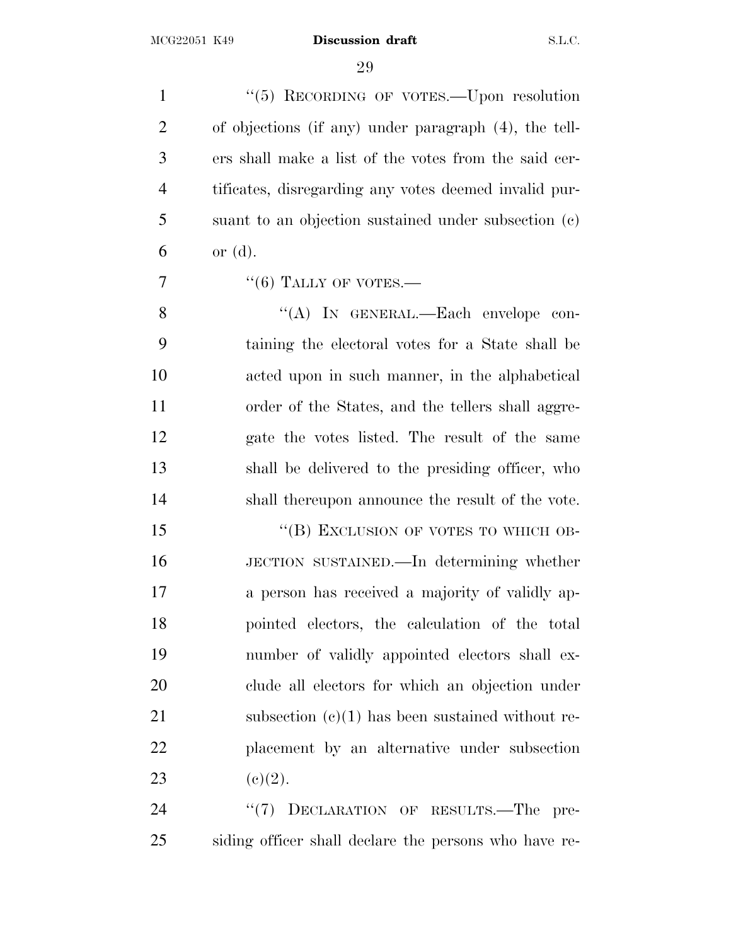1 "(5) RECORDING OF VOTES. Upon resolution of objections (if any) under paragraph (4), the tell- ers shall make a list of the votes from the said cer- tificates, disregarding any votes deemed invalid pur- suant to an objection sustained under subsection (c)  $6 \quad \text{or (d).}$ 

 $\frac{7}{6}$   $\frac{1}{100}$   $\frac{1}{100}$   $\frac{1}{100}$   $\frac{1}{100}$   $\frac{1}{100}$   $\frac{1}{100}$   $\frac{1}{100}$   $\frac{1}{100}$   $\frac{1}{100}$   $\frac{1}{100}$   $\frac{1}{100}$   $\frac{1}{100}$   $\frac{1}{100}$   $\frac{1}{100}$   $\frac{1}{100}$   $\frac{1}{100}$   $\frac{1}{100}$   $\frac{1}{1$ 

8 "(A) IN GENERAL.—Each envelope con- taining the electoral votes for a State shall be acted upon in such manner, in the alphabetical order of the States, and the tellers shall aggre- gate the votes listed. The result of the same shall be delivered to the presiding officer, who shall thereupon announce the result of the vote.

15 "(B) EXCLUSION OF VOTES TO WHICH OB- JECTION SUSTAINED.—In determining whether a person has received a majority of validly ap- pointed electors, the calculation of the total number of validly appointed electors shall ex- clude all electors for which an objection under 21 subsection (c)(1) has been sustained without re- placement by an alternative under subsection 23 (c)(2).

24 "(7) DECLARATION OF RESULTS.—The pre-siding officer shall declare the persons who have re-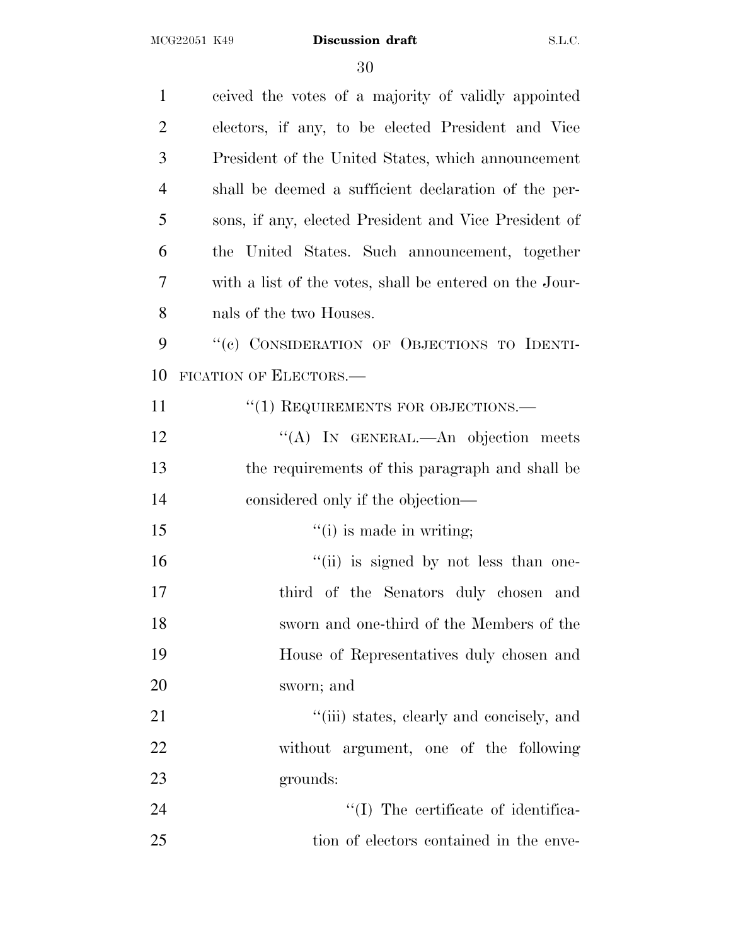| $\mathbf{1}$   | ceived the votes of a majority of validly appointed     |
|----------------|---------------------------------------------------------|
| $\overline{2}$ | electors, if any, to be elected President and Vice      |
| 3              | President of the United States, which announcement      |
| $\overline{4}$ | shall be deemed a sufficient declaration of the per-    |
| 5              | sons, if any, elected President and Vice President of   |
| 6              | the United States. Such announcement, together          |
| 7              | with a list of the votes, shall be entered on the Jour- |
| 8              | nals of the two Houses.                                 |
| 9              | "(c) CONSIDERATION OF OBJECTIONS TO IDENTI-             |
| 10             | FICATION OF ELECTORS.                                   |
| 11             | $``(1)$ REQUIREMENTS FOR OBJECTIONS.—                   |
| 12             | "(A) IN GENERAL.—An objection meets                     |
| 13             | the requirements of this paragraph and shall be         |
| 14             | considered only if the objection—                       |
| 15             | $f'(i)$ is made in writing;                             |
| 16             | "(ii) is signed by not less than one-                   |
| 17             | third of the Senators duly chosen and                   |
| 18             | sworn and one-third of the Members of the               |
| 19             | House of Representatives duly chosen and                |
| 20             | sworn; and                                              |
| 21             | "(iii) states, clearly and concisely, and               |
| 22             | without argument, one of the following                  |
| 23             | grounds:                                                |
| 24             | "(I) The certificate of identifica-                     |
| 25             | tion of electors contained in the enve-                 |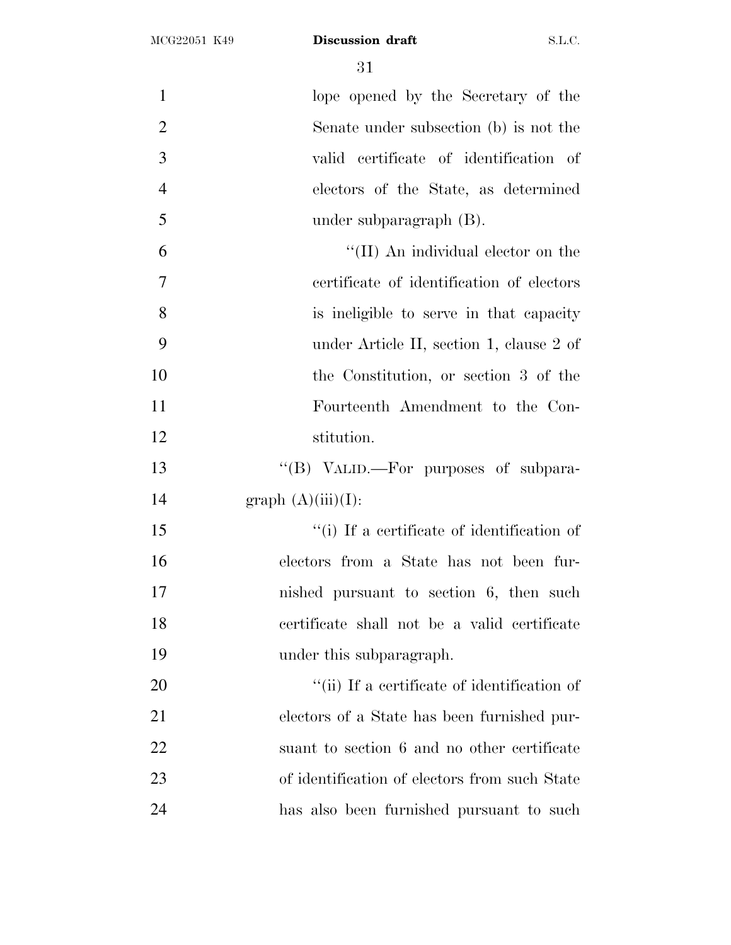1 lope opened by the Secretary of the Senate under subsection (b) is not the valid certificate of identification of electors of the State, as determined under subparagraph (B). ''(II) An individual elector on the certificate of identification of electors is ineligible to serve in that capacity under Article II, section 1, clause 2 of the Constitution, or section 3 of the Fourteenth Amendment to the Con- stitution. ''(B) VALID.—For purposes of subpara-14 graph  $(A)(iii)(I)$ : ''(i) If a certificate of identification of electors from a State has not been fur- nished pursuant to section 6, then such certificate shall not be a valid certificate under this subparagraph.  $\frac{1}{1}$  The a certificate of identification of electors of a State has been furnished pur-22 suant to section 6 and no other certificate of identification of electors from such State has also been furnished pursuant to such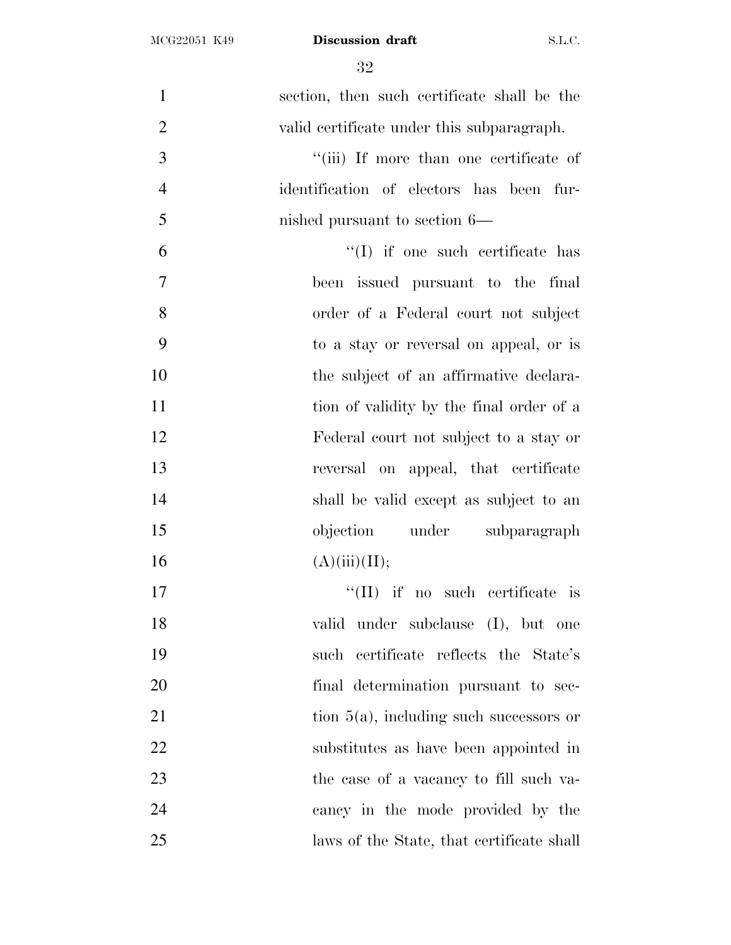| $\mathbf{1}$<br>section, then such certificate shall be the |
|-------------------------------------------------------------|
| $\mathbf{2}$<br>valid certificate under this subparagraph.  |
| 3<br>"(iii) If more than one certificate of                 |
| $\overline{4}$<br>identification of electors has been fur-  |
| 5<br>nished pursuant to section 6—                          |
| 6<br>"(I) if one such certificate has                       |
| 7<br>been issued pursuant to the final                      |
| 8<br>order of a Federal court not subject                   |
| 9<br>to a stay or reversal on appeal, or is                 |
| 10<br>the subject of an affirmative declara-                |
| 11<br>tion of validity by the final order of a              |
| 12<br>Federal court not subject to a stay or                |
| 13<br>reversal on appeal, that certificate                  |
| 14<br>shall be valid except as subject to an                |
| 15<br>objection under subparagraph                          |
| 16<br>(A)(iii)(II);                                         |
| 17<br>$\lq\lq$ (II) if no such certificate is               |
| 18<br>valid under subclause (I), but one                    |
| 19<br>such certificate reflects the State's                 |
| 20<br>final determination pursuant to sec-                  |
| 21<br>tion $5(a)$ , including such successors or            |
| 22<br>substitutes as have been appointed in                 |
| 23<br>the case of a vacancy to fill such va-                |
| 24<br>cancy in the mode provided by the                     |
| 25<br>laws of the State, that certificate shall             |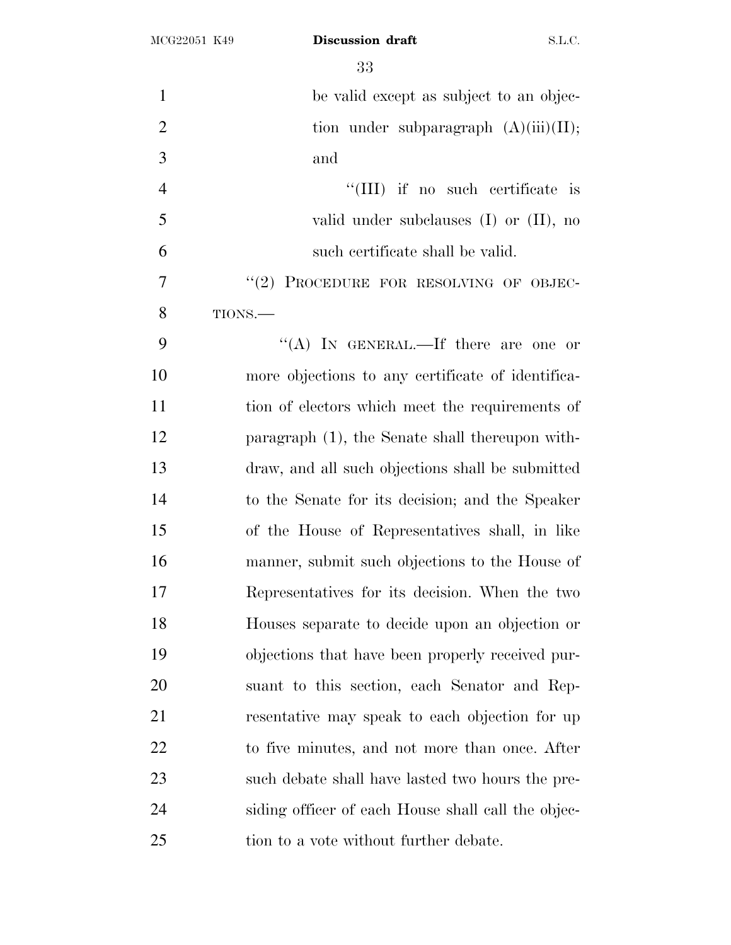| $\mathbf{1}$   | be valid except as subject to an objec-            |
|----------------|----------------------------------------------------|
| $\overline{2}$ | tion under subparagraph $(A)(iii)(II);$            |
| 3              | and                                                |
| $\overline{4}$ | "(III) if no such certificate is                   |
| 5              | valid under subclauses $(I)$ or $(II)$ , no        |
| 6              | such certificate shall be valid.                   |
| 7              | "(2) PROCEDURE FOR RESOLVING OF OBJEC-             |
| 8              | TIONS.-                                            |
| 9              | "(A) IN GENERAL.—If there are one or               |
| 10             | more objections to any certificate of identifica-  |
| 11             | tion of electors which meet the requirements of    |
| 12             | paragraph (1), the Senate shall thereupon with-    |
| 13             | draw, and all such objections shall be submitted   |
| 14             | to the Senate for its decision; and the Speaker    |
| 15             | of the House of Representatives shall, in like     |
| 16             | manner, submit such objections to the House of     |
| 17             | Representatives for its decision. When the two     |
| 18             | Houses separate to decide upon an objection or     |
| 19             | objections that have been properly received pur-   |
| 20             | suant to this section, each Senator and Rep-       |
| 21             | resentative may speak to each objection for up     |
| 22             | to five minutes, and not more than once. After     |
| 23             | such debate shall have lasted two hours the pre-   |
| 24             | siding officer of each House shall call the objec- |
| 25             | tion to a vote without further debate.             |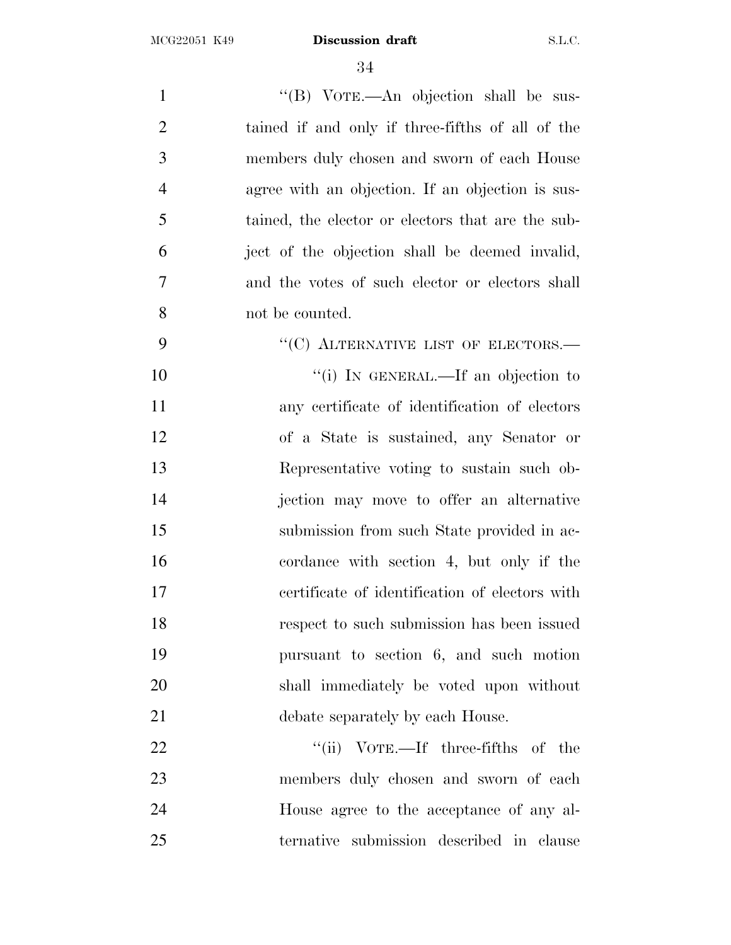1 ''(B) VOTE.—An objection shall be sus- tained if and only if three-fifths of all of the members duly chosen and sworn of each House agree with an objection. If an objection is sus- tained, the elector or electors that are the sub- ject of the objection shall be deemed invalid, and the votes of such elector or electors shall not be counted. 9 "(C) ALTERNATIVE LIST OF ELECTORS.—  $"$ (i) IN GENERAL.—If an objection to any certificate of identification of electors of a State is sustained, any Senator or Representative voting to sustain such ob- jection may move to offer an alternative submission from such State provided in ac- cordance with section 4, but only if the certificate of identification of electors with respect to such submission has been issued pursuant to section 6, and such motion shall immediately be voted upon without 21 debate separately by each House. 22 ''(ii) VOTE.—If three-fifths of the members duly chosen and sworn of each

 House agree to the acceptance of any al-ternative submission described in clause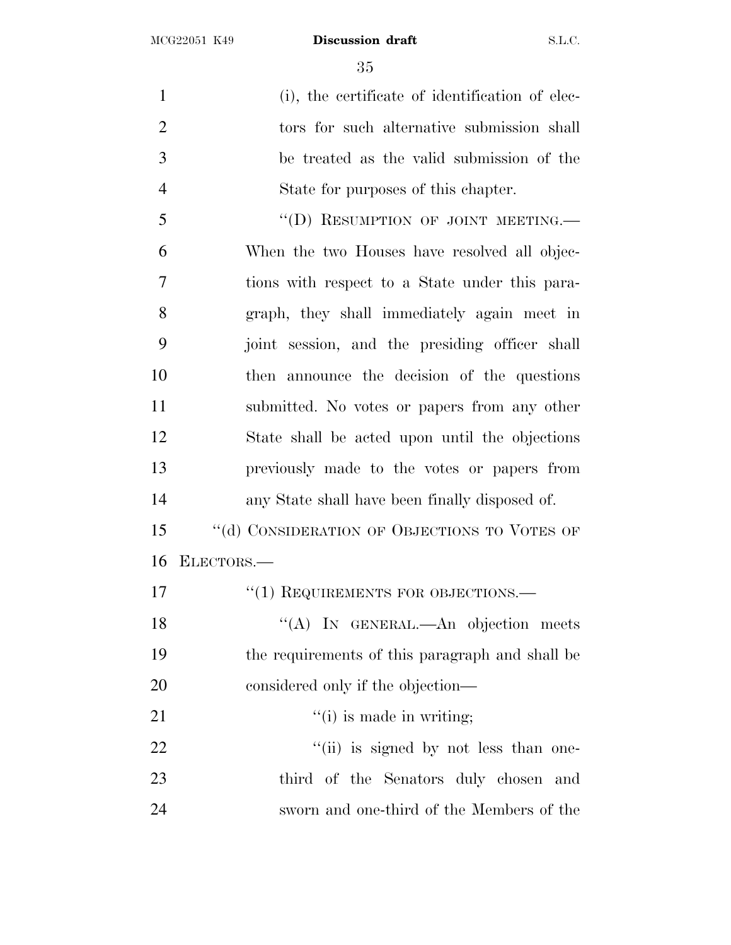1 (i), the certificate of identification of elec- tors for such alternative submission shall be treated as the valid submission of the State for purposes of this chapter. 5 "(D) RESUMPTION OF JOINT MEETING.

 When the two Houses have resolved all objec- tions with respect to a State under this para- graph, they shall immediately again meet in joint session, and the presiding officer shall then announce the decision of the questions submitted. No votes or papers from any other State shall be acted upon until the objections previously made to the votes or papers from any State shall have been finally disposed of.

15 "(d) CONSIDERATION OF OBJECTIONS TO VOTES OF ELECTORS.—

| 17 | $\cdot$ (1) REQUIREMENTS FOR OBJECTIONS.—       |
|----|-------------------------------------------------|
| 18 | "(A) IN GENERAL.—An objection meets             |
| 19 | the requirements of this paragraph and shall be |
| 20 | considered only if the objection—               |
| 21 | $\cdot$ (i) is made in writing;                 |
| 22 | "(ii) is signed by not less than one-           |
| 23 | third of the Senators duly chosen and           |

sworn and one-third of the Members of the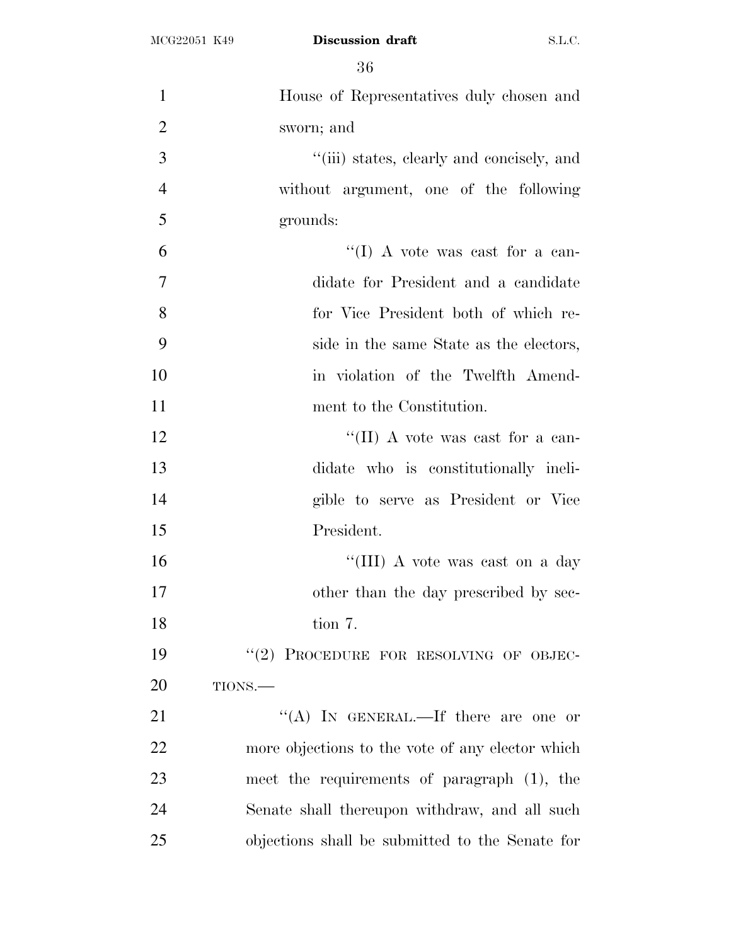| $\mathbf{1}$   | House of Representatives duly chosen and         |
|----------------|--------------------------------------------------|
| $\overline{2}$ | sworn; and                                       |
| 3              | "(iii) states, clearly and concisely, and        |
| $\overline{4}$ | without argument, one of the following           |
| 5              | grounds:                                         |
| 6              | "(I) A vote was cast for a can-                  |
| $\overline{7}$ | didate for President and a candidate             |
| 8              | for Vice President both of which re-             |
| 9              | side in the same State as the electors,          |
| 10             | in violation of the Twelfth Amend-               |
| 11             | ment to the Constitution.                        |
| 12             | "(II) A vote was cast for a can-                 |
| 13             | didate who is constitutionally ineli-            |
| 14             | gible to serve as President or Vice              |
| 15             | President.                                       |
| 16             | "(III) A vote was cast on a day                  |
| 17             | other than the day prescribed by sec-            |
| 18             | tion 7.                                          |
| 19             | "(2) PROCEDURE FOR RESOLVING OF OBJEC-           |
| 20             | TIONS.-                                          |
| 21             | "(A) IN GENERAL.—If there are one or             |
| 22             | more objections to the vote of any elector which |
| 23             | meet the requirements of paragraph (1), the      |
| 24             | Senate shall thereupon withdraw, and all such    |
| 25             | objections shall be submitted to the Senate for  |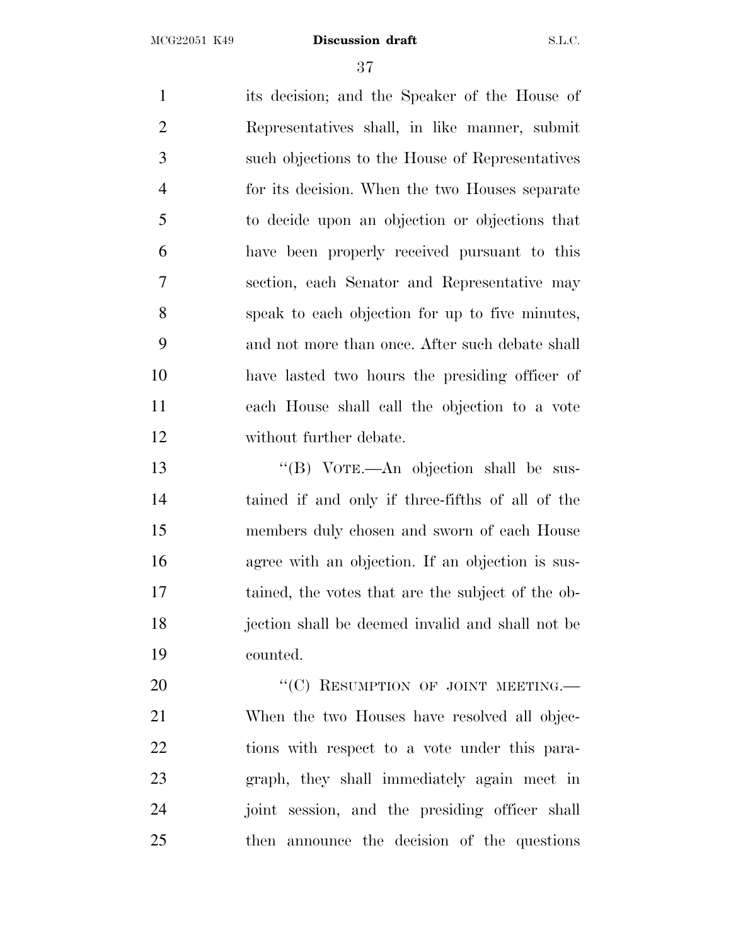its decision; and the Speaker of the House of Representatives shall, in like manner, submit such objections to the House of Representatives for its decision. When the two Houses separate to decide upon an objection or objections that have been properly received pursuant to this section, each Senator and Representative may speak to each objection for up to five minutes, and not more than once. After such debate shall have lasted two hours the presiding officer of each House shall call the objection to a vote without further debate. 13 "(B) VOTE.—An objection shall be sus-

 tained if and only if three-fifths of all of the members duly chosen and sworn of each House agree with an objection. If an objection is sus- tained, the votes that are the subject of the ob- jection shall be deemed invalid and shall not be counted.

20 "'(C) RESUMPTION OF JOINT MEETING. When the two Houses have resolved all objec- tions with respect to a vote under this para- graph, they shall immediately again meet in joint session, and the presiding officer shall then announce the decision of the questions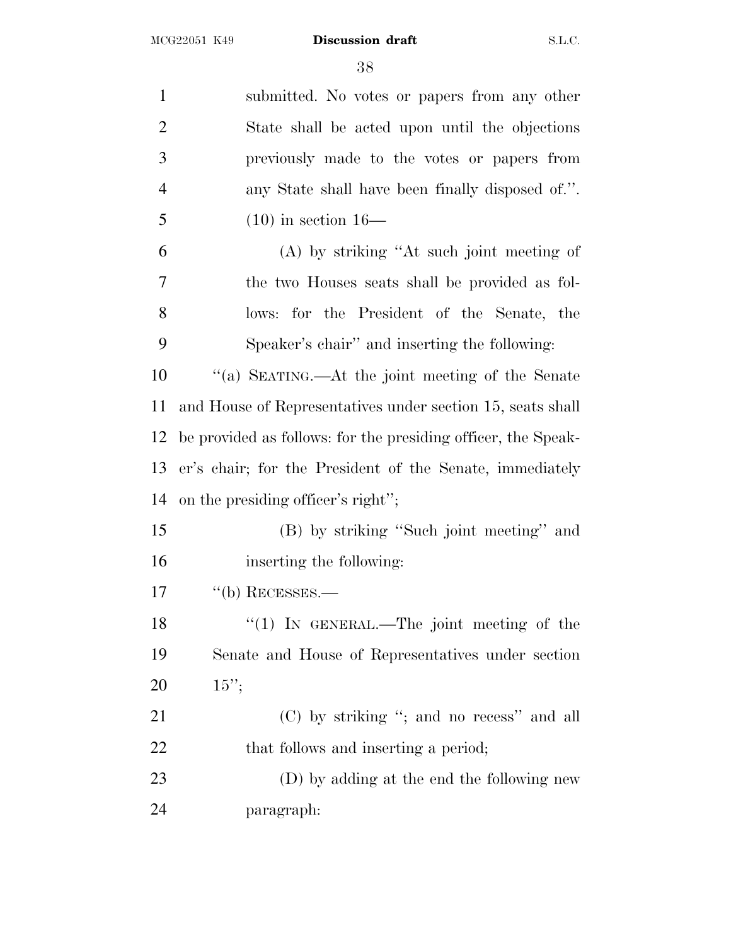| $\mathbf{1}$   | submitted. No votes or papers from any other                  |
|----------------|---------------------------------------------------------------|
| $\overline{2}$ | State shall be acted upon until the objections                |
| 3              | previously made to the votes or papers from                   |
| $\overline{4}$ | any State shall have been finally disposed of.".              |
| 5              | $(10)$ in section 16—                                         |
| 6              | (A) by striking "At such joint meeting of                     |
| 7              | the two Houses seats shall be provided as fol-                |
| 8              | lows: for the President of the Senate, the                    |
| 9              | Speaker's chair" and inserting the following:                 |
| 10             | "(a) SEATING.—At the joint meeting of the Senate              |
| 11             | and House of Representatives under section 15, seats shall    |
| 12             | be provided as follows: for the presiding officer, the Speak- |
| 13             | er's chair; for the President of the Senate, immediately      |
| 14             | on the presiding officer's right";                            |
| 15             | (B) by striking "Such joint meeting" and                      |
| 16             | inserting the following:                                      |
| 17             | $"$ (b) RECESSES.—                                            |
| 18             | " $(1)$ IN GENERAL.—The joint meeting of the                  |
| 19             | Senate and House of Representatives under section             |
| <b>20</b>      | $15$ ";                                                       |
| 21             | (C) by striking "; and no recess" and all                     |
| 22             | that follows and inserting a period;                          |
| 23             | (D) by adding at the end the following new                    |
| 24             | paragraph:                                                    |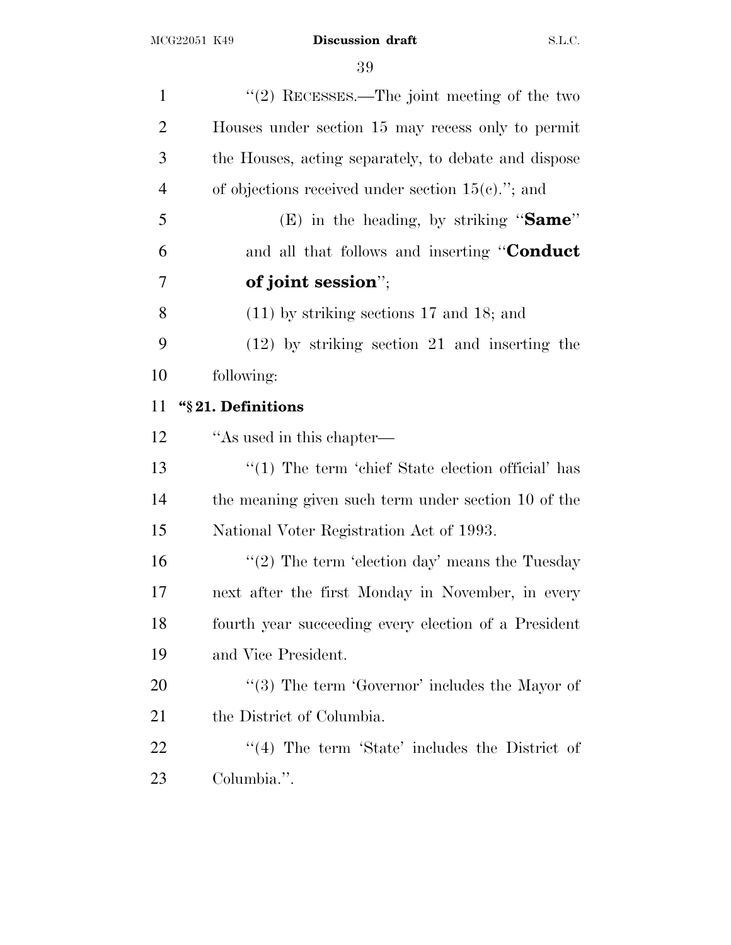| $\lq(2)$ RECESSES.—The joint meeting of the two       |
|-------------------------------------------------------|
| Houses under section 15 may recess only to permit     |
| the Houses, acting separately, to debate and dispose  |
| of objections received under section $15(e)$ ."; and  |
| (E) in the heading, by striking "Same"                |
| and all that follows and inserting "Conduct           |
| of joint session";                                    |
| $(11)$ by striking sections 17 and 18; and            |
| $(12)$ by striking section 21 and inserting the       |
| following:                                            |
| "§21. Definitions                                     |
| "As used in this chapter—                             |
| $\lq(1)$ The term 'chief State election official' has |
| the meaning given such term under section 10 of the   |
| National Voter Registration Act of 1993.              |
| "(2) The term 'election day' means the Tuesday        |
| next after the first Monday in November, in every     |
| fourth year succeeding every election of a President  |
| and Vice President.                                   |
| " $(3)$ The term 'Governor' includes the Mayor of     |
| the District of Columbia.                             |
| "(4) The term 'State' includes the District of        |
| Columbia.".                                           |
|                                                       |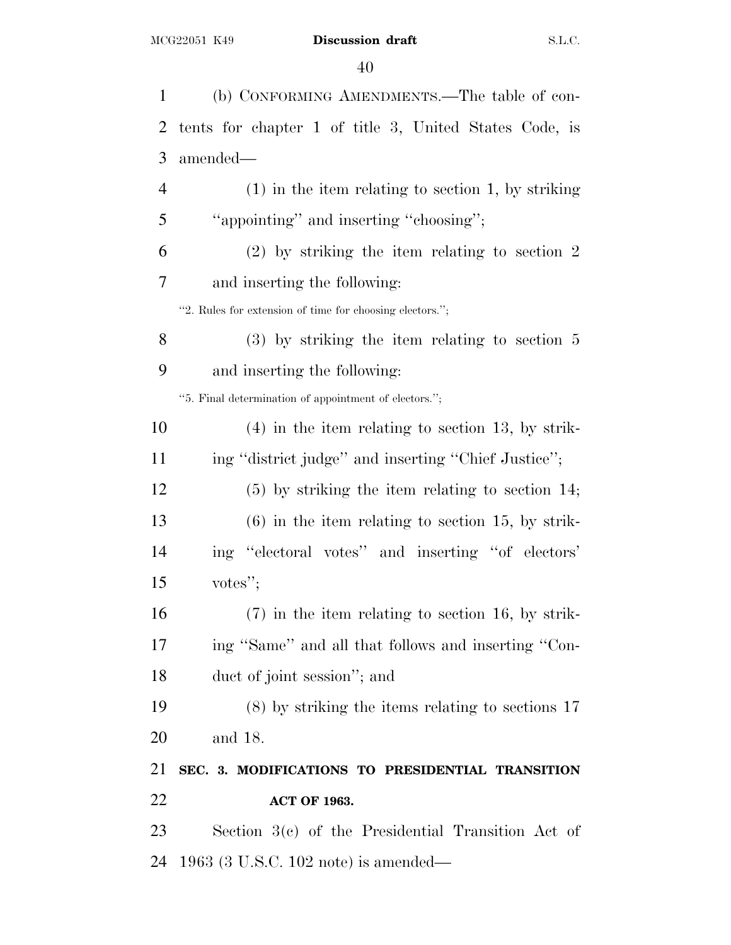| 1              | (b) CONFORMING AMENDMENTS.—The table of con-             |
|----------------|----------------------------------------------------------|
| $\overline{2}$ | tents for chapter 1 of title 3, United States Code, is   |
| 3              | amended—                                                 |
| 4              | $(1)$ in the item relating to section 1, by striking     |
| 5              | "appointing" and inserting "choosing";                   |
| 6              | $(2)$ by striking the item relating to section 2         |
| 7              | and inserting the following:                             |
|                | "2. Rules for extension of time for choosing electors."; |
| 8              | $(3)$ by striking the item relating to section 5         |
| 9              | and inserting the following:                             |
|                | "5. Final determination of appointment of electors.";    |
| 10             | $(4)$ in the item relating to section 13, by strik-      |
| 11             | ing "district judge" and inserting "Chief Justice";      |
| 12             | $(5)$ by striking the item relating to section 14;       |
| 13             | $(6)$ in the item relating to section 15, by strik-      |
| 14             | ing "electoral votes" and inserting "of electors"        |
| 15             | votes";                                                  |
| 16             | $(7)$ in the item relating to section 16, by strik-      |
| 17             | ing "Same" and all that follows and inserting "Con-      |
| 18             | duct of joint session"; and                              |
| 19             | $(8)$ by striking the items relating to sections 17      |
| 20             | and 18.                                                  |
| 21             | SEC. 3. MODIFICATIONS TO PRESIDENTIAL TRANSITION         |
| 22             | <b>ACT OF 1963.</b>                                      |
| 23             | Section 3(c) of the Presidential Transition Act of       |
| 24             | $1963$ (3 U.S.C. 102 note) is amended—                   |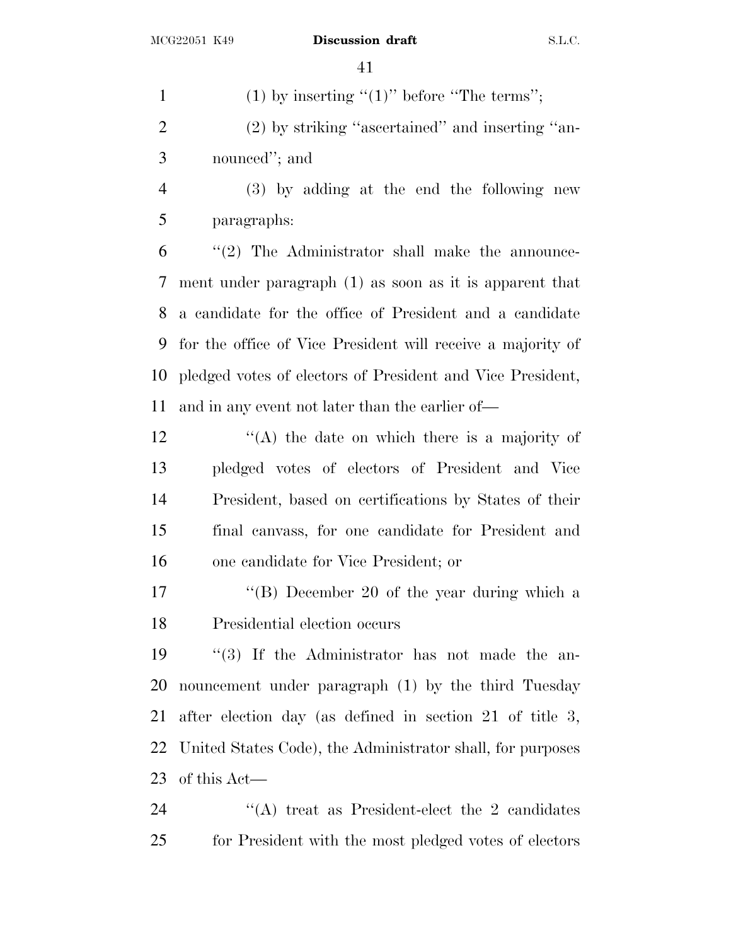1 (1) by inserting " $(1)$ " before "The terms";

 (2) by striking ''ascertained'' and inserting ''an-nounced''; and

 (3) by adding at the end the following new paragraphs:

 ''(2) The Administrator shall make the announce- ment under paragraph (1) as soon as it is apparent that a candidate for the office of President and a candidate for the office of Vice President will receive a majority of pledged votes of electors of President and Vice President, and in any event not later than the earlier of—

 $'(\mathbf{A})$  the date on which there is a majority of pledged votes of electors of President and Vice President, based on certifications by States of their final canvass, for one candidate for President and one candidate for Vice President; or

17 ''(B) December 20 of the year during which a Presidential election occurs

 ''(3) If the Administrator has not made the an- nouncement under paragraph (1) by the third Tuesday after election day (as defined in section 21 of title 3, United States Code), the Administrator shall, for purposes of this Act—

24 ''(A) treat as President-elect the 2 candidates for President with the most pledged votes of electors